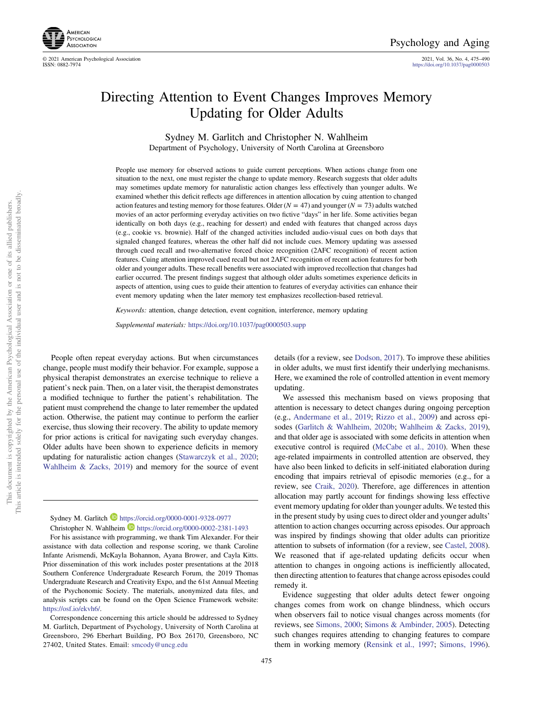

© 2021 American Psychological Association 2021, Vol. 36, No. 4, 475–490 <https://doi.org/10.1037/pag0000503>

# Directing Attention to Event Changes Improves Memory Updating for Older Adults

Sydney M. Garlitch and Christopher N. Wahlheim Department of Psychology, University of North Carolina at Greensboro

People use memory for observed actions to guide current perceptions. When actions change from one situation to the next, one must register the change to update memory. Research suggests that older adults may sometimes update memory for naturalistic action changes less effectively than younger adults. We examined whether this deficit reflects age differences in attention allocation by cuing attention to changed action features and testing memory for those features. Older  $(N = 47)$  and younger  $(N = 73)$  adults watched movies of an actor performing everyday activities on two fictive "days" in her life. Some activities began identically on both days (e.g., reaching for dessert) and ended with features that changed across days (e.g., cookie vs. brownie). Half of the changed activities included audio-visual cues on both days that signaled changed features, whereas the other half did not include cues. Memory updating was assessed through cued recall and two-alternative forced choice recognition (2AFC recognition) of recent action features. Cuing attention improved cued recall but not 2AFC recognition of recent action features for both older and younger adults. These recall benefits were associated with improved recollection that changes had earlier occurred. The present findings suggest that although older adults sometimes experience deficits in aspects of attention, using cues to guide their attention to features of everyday activities can enhance their event memory updating when the later memory test emphasizes recollection-based retrieval.

Keywords: attention, change detection, event cognition, interference, memory updating

Supplemental materials: <https://doi.org/10.1037/pag0000503.supp>

People often repeat everyday actions. But when circumstances change, people must modify their behavior. For example, suppose a physical therapist demonstrates an exercise technique to relieve a patient's neck pain. Then, on a later visit, the therapist demonstrates a modified technique to further the patient's rehabilitation. The patient must comprehend the change to later remember the updated action. Otherwise, the patient may continue to perform the earlier exercise, thus slowing their recovery. The ability to update memory for prior actions is critical for navigating such everyday changes. Older adults have been shown to experience deficits in memory updating for naturalistic action changes [\(Stawarczyk et al., 2020;](#page-14-0) [Wahlheim & Zacks, 2019\)](#page-14-0) and memory for the source of event

Sydney M. Garlitch <https://orcid.org/0000-0001-9328-0977> Christopher N. Wahlheim D <https://orcid.org/0000-0002-2381-1493>

For his assistance with programming, we thank Tim Alexander. For their assistance with data collection and response scoring, we thank Caroline Infante Arismendi, McKayla Bohannon, Ayana Brower, and Cayla Kitts. Prior dissemination of this work includes poster presentations at the 2018 Southern Conference Undergraduate Research Forum, the 2019 Thomas Undergraduate Research and Creativity Expo, and the 61st Annual Meeting of the Psychonomic Society. The materials, anonymized data files, and analysis scripts can be found on the Open Science Framework website: <https://osf.io/ekvh6/>.

Correspondence concerning this article should be addressed to Sydney M. Garlitch, Department of Psychology, University of North Carolina at Greensboro, 296 Eberhart Building, PO Box 26170, Greensboro, NC 27402, United States. Email: [smcody@uncg.edu](mailto:smcody@uncg.edu)

details (for a review, see [Dodson, 2017\)](#page-13-0). To improve these abilities in older adults, we must first identify their underlying mechanisms. Here, we examined the role of controlled attention in event memory updating.

We assessed this mechanism based on views proposing that attention is necessary to detect changes during ongoing perception (e.g., [Andermane et al., 2019](#page-12-0); [Rizzo et al., 2009](#page-14-0)) and across episodes [\(Garlitch & Wahlheim, 2020b;](#page-13-0) [Wahlheim & Zacks, 2019\)](#page-14-0), and that older age is associated with some deficits in attention when executive control is required [\(McCabe et al., 2010\)](#page-14-0). When these age-related impairments in controlled attention are observed, they have also been linked to deficits in self-initiated elaboration during encoding that impairs retrieval of episodic memories (e.g., for a review, see [Craik, 2020](#page-13-0)). Therefore, age differences in attention allocation may partly account for findings showing less effective event memory updating for older than younger adults. We tested this in the present study by using cues to direct older and younger adults' attention to action changes occurring across episodes. Our approach was inspired by findings showing that older adults can prioritize attention to subsets of information (for a review, see [Castel, 2008\)](#page-13-0). We reasoned that if age-related updating deficits occur when attention to changes in ongoing actions is inefficiently allocated, then directing attention to features that change across episodes could remedy it.

Evidence suggesting that older adults detect fewer ongoing changes comes from work on change blindness, which occurs when observers fail to notice visual changes across moments (for reviews, see [Simons, 2000;](#page-14-0) [Simons & Ambinder, 2005\)](#page-14-0). Detecting such changes requires attending to changing features to compare them in working memory [\(Rensink et al., 1997;](#page-14-0) [Simons, 1996\)](#page-14-0).

This document is copyrighted by the American Psychological Association or one of its allied publishers.

This document is copyrighted by the American Psychological Association or one of its allied publishers.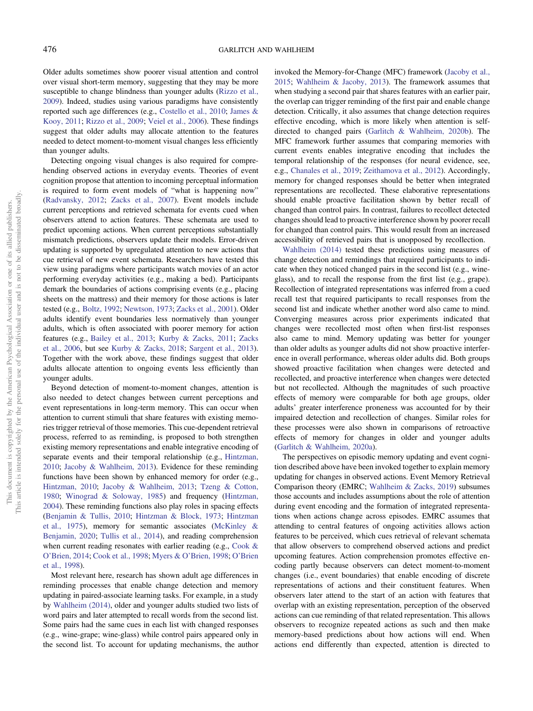Older adults sometimes show poorer visual attention and control over visual short-term memory, suggesting that they may be more susceptible to change blindness than younger adults ([Rizzo et al.,](#page-14-0) [2009\)](#page-14-0). Indeed, studies using various paradigms have consistently reported such age differences (e.g., [Costello et al., 2010](#page-13-0); [James &](#page-13-0) [Kooy, 2011;](#page-13-0) [Rizzo et al., 2009;](#page-14-0) [Veiel et al., 2006\)](#page-14-0). These findings suggest that older adults may allocate attention to the features needed to detect moment-to-moment visual changes less efficiently than younger adults.

Detecting ongoing visual changes is also required for comprehending observed actions in everyday events. Theories of event cognition propose that attention to incoming perceptual information is required to form event models of "what is happening now" ([Radvansky, 2012](#page-14-0); [Zacks et al., 2007](#page-14-0)). Event models include current perceptions and retrieved schemata for events cued when observers attend to action features. These schemata are used to predict upcoming actions. When current perceptions substantially mismatch predictions, observers update their models. Error-driven updating is supported by upregulated attention to new actions that cue retrieval of new event schemata. Researchers have tested this view using paradigms where participants watch movies of an actor performing everyday activities (e.g., making a bed). Participants demark the boundaries of actions comprising events (e.g., placing sheets on the mattress) and their memory for those actions is later tested (e.g., [Boltz, 1992;](#page-12-0) [Newtson, 1973](#page-14-0); [Zacks et al., 2001\)](#page-14-0). Older adults identify event boundaries less normatively than younger adults, which is often associated with poorer memory for action features (e.g., [Bailey et al., 2013;](#page-12-0) [Kurby & Zacks, 2011](#page-13-0); [Zacks](#page-14-0) [et al., 2006](#page-14-0), but see [Kurby & Zacks, 2018](#page-13-0); [Sargent et al., 2013\)](#page-14-0). Together with the work above, these findings suggest that older adults allocate attention to ongoing events less efficiently than younger adults.

Beyond detection of moment-to-moment changes, attention is also needed to detect changes between current perceptions and event representations in long-term memory. This can occur when attention to current stimuli that share features with existing memories trigger retrieval of those memories. This cue-dependent retrieval process, referred to as reminding, is proposed to both strengthen existing memory representations and enable integrative encoding of separate events and their temporal relationship (e.g., [Hintzman,](#page-13-0) [2010;](#page-13-0) [Jacoby & Wahlheim, 2013\)](#page-13-0). Evidence for these reminding functions have been shown by enhanced memory for order (e.g., [Hintzman, 2010;](#page-13-0) [Jacoby & Wahlheim, 2013;](#page-13-0) [Tzeng & Cotton,](#page-14-0) [1980;](#page-14-0) [Winograd & Soloway, 1985\)](#page-14-0) and frequency ([Hintzman,](#page-13-0) [2004\)](#page-13-0). These reminding functions also play roles in spacing effects ([Benjamin & Tullis, 2010](#page-12-0); [Hintzman & Block, 1973;](#page-13-0) [Hintzman](#page-13-0) [et al., 1975](#page-13-0)), memory for semantic associates ([McKinley &](#page-14-0) [Benjamin, 2020](#page-14-0); [Tullis et al., 2014](#page-14-0)), and reading comprehension when current reading resonates with earlier reading (e.g., [Cook &](#page-13-0) O'[Brien, 2014](#page-13-0); [Cook et al., 1998](#page-13-0); Myers & O'[Brien, 1998](#page-14-0); O'[Brien](#page-14-0) [et al., 1998](#page-14-0)).

Most relevant here, research has shown adult age differences in reminding processes that enable change detection and memory updating in paired-associate learning tasks. For example, in a study by [Wahlheim \(2014\),](#page-14-0) older and younger adults studied two lists of word pairs and later attempted to recall words from the second list. Some pairs had the same cues in each list with changed responses (e.g., wine-grape; wine-glass) while control pairs appeared only in the second list. To account for updating mechanisms, the author

invoked the Memory-for-Change (MFC) framework ([Jacoby et al.,](#page-13-0) [2015;](#page-13-0) [Wahlheim & Jacoby, 2013](#page-14-0)). The framework assumes that when studying a second pair that shares features with an earlier pair, the overlap can trigger reminding of the first pair and enable change detection. Critically, it also assumes that change detection requires effective encoding, which is more likely when attention is selfdirected to changed pairs [\(Garlitch & Wahlheim, 2020b](#page-13-0)). The MFC framework further assumes that comparing memories with current events enables integrative encoding that includes the temporal relationship of the responses (for neural evidence, see, e.g., [Chanales et al., 2019](#page-13-0); [Zeithamova et al., 2012](#page-15-0)). Accordingly, memory for changed responses should be better when integrated representations are recollected. These elaborative representations should enable proactive facilitation shown by better recall of changed than control pairs. In contrast, failures to recollect detected changes should lead to proactive interference shown by poorer recall for changed than control pairs. This would result from an increased accessibility of retrieved pairs that is unopposed by recollection.

[Wahlheim \(2014\)](#page-14-0) tested these predictions using measures of change detection and remindings that required participants to indicate when they noticed changed pairs in the second list (e.g., wineglass), and to recall the response from the first list (e.g., grape). Recollection of integrated representations was inferred from a cued recall test that required participants to recall responses from the second list and indicate whether another word also came to mind. Converging measures across prior experiments indicated that changes were recollected most often when first-list responses also came to mind. Memory updating was better for younger than older adults as younger adults did not show proactive interference in overall performance, whereas older adults did. Both groups showed proactive facilitation when changes were detected and recollected, and proactive interference when changes were detected but not recollected. Although the magnitudes of such proactive effects of memory were comparable for both age groups, older adults' greater interference proneness was accounted for by their impaired detection and recollection of changes. Similar roles for these processes were also shown in comparisons of retroactive effects of memory for changes in older and younger adults ([Garlitch & Wahlheim, 2020a](#page-13-0)).

The perspectives on episodic memory updating and event cognition described above have been invoked together to explain memory updating for changes in observed actions. Event Memory Retrieval Comparison theory (EMRC; [Wahlheim & Zacks, 2019\)](#page-14-0) subsumes those accounts and includes assumptions about the role of attention during event encoding and the formation of integrated representations when actions change across episodes. EMRC assumes that attending to central features of ongoing activities allows action features to be perceived, which cues retrieval of relevant schemata that allow observers to comprehend observed actions and predict upcoming features. Action comprehension promotes effective encoding partly because observers can detect moment-to-moment changes (i.e., event boundaries) that enable encoding of discrete representations of actions and their constituent features. When observers later attend to the start of an action with features that overlap with an existing representation, perception of the observed actions can cue reminding of that related representation. This allows observers to recognize repeated actions as such and then make memory-based predictions about how actions will end. When actions end differently than expected, attention is directed to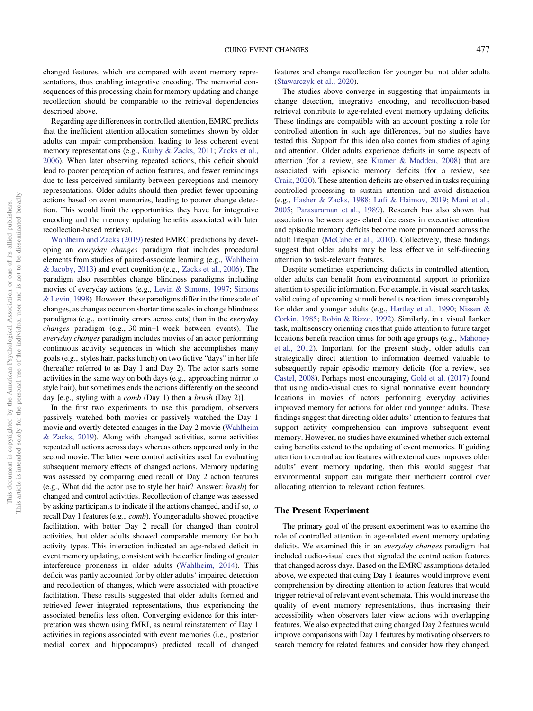changed features, which are compared with event memory representations, thus enabling integrative encoding. The memorial consequences of this processing chain for memory updating and change recollection should be comparable to the retrieval dependencies described above.

Regarding age differences in controlled attention, EMRC predicts that the inefficient attention allocation sometimes shown by older adults can impair comprehension, leading to less coherent event memory representations (e.g., [Kurby & Zacks, 2011](#page-13-0); [Zacks et al.,](#page-14-0) [2006\)](#page-14-0). When later observing repeated actions, this deficit should lead to poorer perception of action features, and fewer remindings due to less perceived similarity between perceptions and memory representations. Older adults should then predict fewer upcoming actions based on event memories, leading to poorer change detection. This would limit the opportunities they have for integrative encoding and the memory updating benefits associated with later recollection-based retrieval.

[Wahlheim and Zacks \(2019\)](#page-14-0) tested EMRC predictions by developing an everyday changes paradigm that includes procedural elements from studies of paired-associate learning (e.g., [Wahlheim](#page-14-0) [& Jacoby, 2013](#page-14-0)) and event cognition (e.g., [Zacks et al., 2006\)](#page-14-0). The paradigm also resembles change blindness paradigms including movies of everyday actions (e.g., [Levin & Simons, 1997;](#page-13-0) [Simons](#page-14-0) [& Levin, 1998\)](#page-14-0). However, these paradigms differ in the timescale of changes, as changes occur on shorter time scales in change blindness paradigms (e.g., continuity errors across cuts) than in the everyday changes paradigm (e.g., 30 min–1 week between events). The everyday changes paradigm includes movies of an actor performing continuous activity sequences in which she accomplishes many goals (e.g., styles hair, packs lunch) on two fictive "days" in her life (hereafter referred to as Day 1 and Day 2). The actor starts some activities in the same way on both days (e.g., approaching mirror to style hair), but sometimes ends the actions differently on the second day [e.g., styling with a *comb* (Day 1) then a *brush* (Day 2)].

In the first two experiments to use this paradigm, observers passively watched both movies or passively watched the Day 1 movie and overtly detected changes in the Day 2 movie ([Wahlheim](#page-14-0) [& Zacks, 2019\)](#page-14-0). Along with changed activities, some activities repeated all actions across days whereas others appeared only in the second movie. The latter were control activities used for evaluating subsequent memory effects of changed actions. Memory updating was assessed by comparing cued recall of Day 2 action features (e.g., What did the actor use to style her hair? Answer: brush) for changed and control activities. Recollection of change was assessed by asking participants to indicate if the actions changed, and if so, to recall Day 1 features (e.g., comb). Younger adults showed proactive facilitation, with better Day 2 recall for changed than control activities, but older adults showed comparable memory for both activity types. This interaction indicated an age-related deficit in event memory updating, consistent with the earlier finding of greater interference proneness in older adults ([Wahlheim, 2014](#page-14-0)). This deficit was partly accounted for by older adults' impaired detection and recollection of changes, which were associated with proactive facilitation. These results suggested that older adults formed and retrieved fewer integrated representations, thus experiencing the associated benefits less often. Converging evidence for this interpretation was shown using fMRI, as neural reinstatement of Day 1 activities in regions associated with event memories (i.e., posterior medial cortex and hippocampus) predicted recall of changed

features and change recollection for younger but not older adults ([Stawarczyk et al., 2020\)](#page-14-0).

The studies above converge in suggesting that impairments in change detection, integrative encoding, and recollection-based retrieval contribute to age-related event memory updating deficits. These findings are compatible with an account positing a role for controlled attention in such age differences, but no studies have tested this. Support for this idea also comes from studies of aging and attention. Older adults experience deficits in some aspects of attention (for a review, see [Kramer & Madden, 2008](#page-13-0)) that are associated with episodic memory deficits (for a review, see [Craik, 2020\)](#page-13-0). These attention deficits are observed in tasks requiring controlled processing to sustain attention and avoid distraction (e.g., [Hasher & Zacks, 1988;](#page-13-0) Lufi [& Haimov, 2019;](#page-13-0) [Mani et al.,](#page-14-0) [2005;](#page-14-0) [Parasuraman et al., 1989\)](#page-14-0). Research has also shown that associations between age-related decreases in executive attention and episodic memory deficits become more pronounced across the adult lifespan ([McCabe et al., 2010](#page-14-0)). Collectively, these findings suggest that older adults may be less effective in self-directing attention to task-relevant features.

Despite sometimes experiencing deficits in controlled attention, older adults can benefit from environmental support to prioritize attention to specific information. For example, in visual search tasks, valid cuing of upcoming stimuli benefits reaction times comparably for older and younger adults (e.g., [Hartley et al., 1990](#page-13-0); [Nissen &](#page-14-0) [Corkin, 1985;](#page-14-0) [Robin & Rizzo, 1992](#page-14-0)). Similarly, in a visual flanker task, multisensory orienting cues that guide attention to future target locations benefit reaction times for both age groups (e.g., [Mahoney](#page-14-0) [et al., 2012\)](#page-14-0). Important for the present study, older adults can strategically direct attention to information deemed valuable to subsequently repair episodic memory deficits (for a review, see [Castel, 2008\)](#page-13-0). Perhaps most encouraging, [Gold et al. \(2017\)](#page-13-0) found that using audio-visual cues to signal normative event boundary locations in movies of actors performing everyday activities improved memory for actions for older and younger adults. These findings suggest that directing older adults' attention to features that support activity comprehension can improve subsequent event memory. However, no studies have examined whether such external cuing benefits extend to the updating of event memories. If guiding attention to central action features with external cues improves older adults' event memory updating, then this would suggest that environmental support can mitigate their inefficient control over allocating attention to relevant action features.

#### The Present Experiment

The primary goal of the present experiment was to examine the role of controlled attention in age-related event memory updating deficits. We examined this in an everyday changes paradigm that included audio-visual cues that signaled the central action features that changed across days. Based on the EMRC assumptions detailed above, we expected that cuing Day 1 features would improve event comprehension by directing attention to action features that would trigger retrieval of relevant event schemata. This would increase the quality of event memory representations, thus increasing their accessibility when observers later view actions with overlapping features. We also expected that cuing changed Day 2 features would improve comparisons with Day 1 features by motivating observers to search memory for related features and consider how they changed.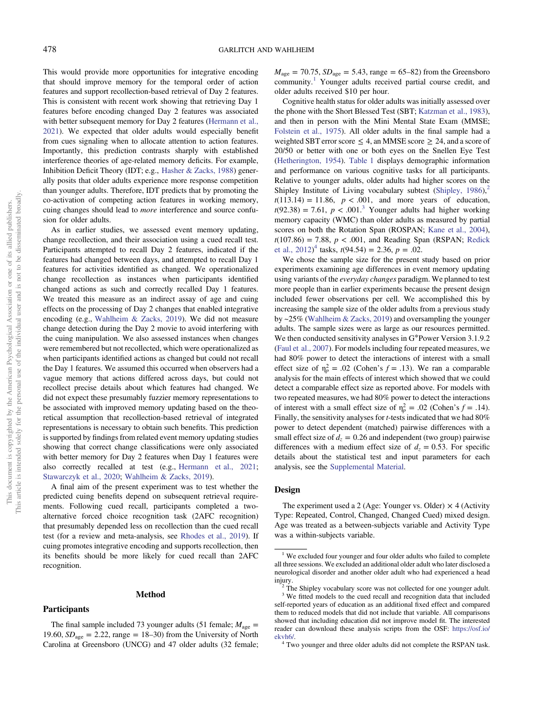This would provide more opportunities for integrative encoding that should improve memory for the temporal order of action features and support recollection-based retrieval of Day 2 features. This is consistent with recent work showing that retrieving Day 1 features before encoding changed Day 2 features was associated with better subsequent memory for Day 2 features [\(Hermann et al.,](#page-13-0) [2021\)](#page-13-0). We expected that older adults would especially benefit from cues signaling when to allocate attention to action features. Importantly, this prediction contrasts sharply with established interference theories of age-related memory deficits. For example, Inhibition Deficit Theory (IDT; e.g., [Hasher & Zacks, 1988](#page-13-0)) generally posits that older adults experience more response competition than younger adults. Therefore, IDT predicts that by promoting the co-activation of competing action features in working memory, cuing changes should lead to more interference and source confusion for older adults.

As in earlier studies, we assessed event memory updating, change recollection, and their association using a cued recall test. Participants attempted to recall Day 2 features, indicated if the features had changed between days, and attempted to recall Day 1 features for activities identified as changed. We operationalized change recollection as instances when participants identified changed actions as such and correctly recalled Day 1 features. We treated this measure as an indirect assay of age and cuing effects on the processing of Day 2 changes that enabled integrative encoding (e.g., [Wahlheim & Zacks, 2019\)](#page-14-0). We did not measure change detection during the Day 2 movie to avoid interfering with the cuing manipulation. We also assessed instances when changes were remembered but not recollected, which were operationalized as when participants identified actions as changed but could not recall the Day 1 features. We assumed this occurred when observers had a vague memory that actions differed across days, but could not recollect precise details about which features had changed. We did not expect these presumably fuzzier memory representations to be associated with improved memory updating based on the theoretical assumption that recollection-based retrieval of integrated representations is necessary to obtain such benefits. This prediction is supported by findings from related event memory updating studies showing that correct change classifications were only associated with better memory for Day 2 features when Day 1 features were also correctly recalled at test (e.g., [Hermann et al., 2021;](#page-13-0) [Stawarczyk et al., 2020;](#page-14-0) [Wahlheim & Zacks, 2019](#page-14-0)).

A final aim of the present experiment was to test whether the predicted cuing benefits depend on subsequent retrieval requirements. Following cued recall, participants completed a twoalternative forced choice recognition task (2AFC recognition) that presumably depended less on recollection than the cued recall test (for a review and meta-analysis, see [Rhodes et al., 2019\)](#page-14-0). If cuing promotes integrative encoding and supports recollection, then its benefits should be more likely for cued recall than 2AFC recognition.

#### **Participants**

The final sample included 73 younger adults (51 female;  $M_{\text{age}} =$ 19.60,  $SD<sub>age</sub> = 2.22$ , range = 18–30) from the University of North Carolina at Greensboro (UNCG) and 47 older adults (32 female;

Method

 $M_{\text{age}} = 70.75$ ,  $SD_{\text{age}} = 5.43$ , range = 65–82) from the Greensboro community.<sup>1</sup> Younger adults received partial course credit, and older adults received \$10 per hour.

Cognitive health status for older adults was initially assessed over the phone with the Short Blessed Test (SBT; [Katzman et al., 1983\)](#page-13-0), and then in person with the Mini Mental State Exam (MMSE; [Folstein et al., 1975](#page-13-0)). All older adults in the final sample had a weighted SBT error score  $\leq 4$ , an MMSE score  $\geq 24$ , and a score of 20/50 or better with one or both eyes on the Snellen Eye Test ([Hetherington, 1954](#page-13-0)). [Table 1](#page-4-0) displays demographic information and performance on various cognitive tasks for all participants. Relative to younger adults, older adults had higher scores on the Shipley Institute of Living vocabulary subtest (Shipley,  $1986$ ),<sup>2</sup>  $t(113.14) = 11.86$ ,  $p < .001$ , and more years of education,  $t(92.38) = 7.61$ ,  $p < .001$ <sup>3</sup> Younger adults had higher working memory capacity (WMC) than older adults as measured by partial scores on both the Rotation Span (ROSPAN; [Kane et al., 2004\)](#page-13-0),  $t(107.86) = 7.88$ ,  $p < .001$ , and Reading Span (RSPAN; [Redick](#page-14-0) et al.,  $2012)^4$  tasks,  $t(94.54) = 2.36$ ,  $p = .02$ .

We chose the sample size for the present study based on prior experiments examining age differences in event memory updating using variants of the *everyday changes* paradigm. We planned to test more people than in earlier experiments because the present design included fewer observations per cell. We accomplished this by increasing the sample size of the older adults from a previous study by ~25% ([Wahlheim & Zacks, 2019\)](#page-14-0) and oversampling the younger adults. The sample sizes were as large as our resources permitted. We then conducted sensitivity analyses in G\*Power Version 3.1.9.2 ([Faul et al., 2007](#page-13-0)). For models including four repeated measures, we had 80% power to detect the interactions of interest with a small effect size of  $\eta_p^2 = .02$  (Cohen's  $f = .13$ ). We ran a comparable analysis for the main effects of interest which showed that we could detect a comparable effect size as reported above. For models with two repeated measures, we had 80% power to detect the interactions of interest with a small effect size of  $\eta_p^2 = .02$  (Cohen's  $f = .14$ ). Finally, the sensitivity analyses for t-tests indicated that we had 80% power to detect dependent (matched) pairwise differences with a small effect size of  $d_z = 0.26$  and independent (two group) pairwise differences with a medium effect size of  $d_z = 0.53$ . For specific details about the statistical test and input parameters for each analysis, see the [Supplemental Material.](https://doi.org/10.1037/pag0000503.supp)

#### Design

The experiment used a 2 (Age: Younger vs. Older)  $\times$  4 (Activity Type: Repeated, Control, Changed, Changed Cued) mixed design. Age was treated as a between-subjects variable and Activity Type was a within-subjects variable.

<sup>&</sup>lt;sup>1</sup> We excluded four younger and four older adults who failed to complete all three sessions. We excluded an additional older adult who later disclosed a neurological disorder and another older adult who had experienced a head injury.<br><sup>2</sup> The Shipley vocabulary score was not collected for one younger adult.

<sup>&</sup>lt;sup>3</sup> We fitted models to the cued recall and recognition data that included self-reported years of education as an additional fixed effect and compared them to reduced models that did not include that variable. All comparisons showed that including education did not improve model fit. The interested reader can download these analysis scripts from the OSF: [https://osf.io/](https://osf.io/ekvh6/) [ekvh6/.](https://osf.io/ekvh6/) <sup>4</sup> Two younger and three older adults did not complete the RSPAN task.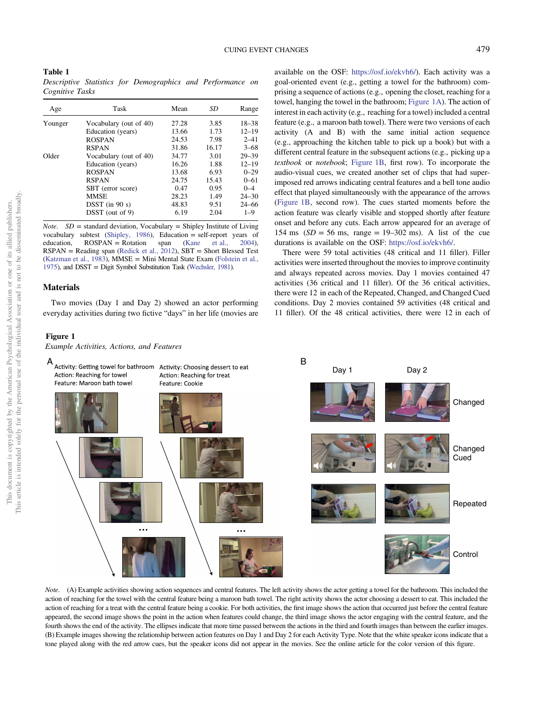<span id="page-4-0"></span>Table 1 Descriptive Statistics for Demographics and Performance on Cognitive Tasks

| Age     | Task                   | Mean  | SD    | Range     |
|---------|------------------------|-------|-------|-----------|
| Younger | Vocabulary (out of 40) | 27.28 | 3.85  | $18 - 38$ |
|         | Education (years)      | 13.66 | 1.73  | $12 - 19$ |
|         | <b>ROSPAN</b>          | 24.53 | 7.98  | $2 - 41$  |
|         | <b>RSPAN</b>           | 31.86 | 16.17 | $3 - 68$  |
| Older   | Vocabulary (out of 40) | 34.77 | 3.01  | $29 - 39$ |
|         | Education (years)      | 16.26 | 1.88  | $12 - 19$ |
|         | <b>ROSPAN</b>          | 13.68 | 6.93  | $0 - 29$  |
|         | <b>RSPAN</b>           | 24.75 | 15.43 | $0 - 61$  |
|         | SBT (error score)      | 0.47  | 0.95  | $0 - 4$   |
|         | <b>MMSE</b>            | 28.23 | 1.49  | $24 - 30$ |
|         | $D SST$ (in 90 s)      | 48.83 | 9.51  | $24 - 66$ |
|         | DSST (out of 9)        | 6.19  | 2.04  | $1 - 9$   |

*Note.*  $SD =$  standard deviation, Vocabulary = Shipley Institute of Living vocabulary subtest [\(Shipley, 1986](#page-14-0)), Education = self-report years of education,  $ROSPAR = Rotation$  span ([Kane et al., 2004](#page-13-0)), RSPAN = Reading span [\(Redick et al., 2012\)](#page-14-0), SBT = Short Blessed Test ([Katzman et al., 1983\)](#page-13-0), MMSE = Mini Mental State Exam [\(Folstein et al.,](#page-13-0) [1975\)](#page-13-0), and DSST = Digit Symbol Substitution Task [\(Wechsler, 1981\)](#page-14-0).

# **Materials**

Two movies (Day 1 and Day 2) showed an actor performing everyday activities during two fictive "days" in her life (movies are

#### Figure 1

Example Activities, Actions, and Features

available on the OSF: <https://osf.io/ekvh6/>). Each activity was a goal-oriented event (e.g., getting a towel for the bathroom) comprising a sequence of actions (e.g., opening the closet, reaching for a towel, hanging the towel in the bathroom; Figure 1A). The action of interest in each activity (e.g., reaching for a towel) included a central feature (e.g., a maroon bath towel). There were two versions of each activity (A and B) with the same initial action sequence (e.g., approaching the kitchen table to pick up a book) but with a different central feature in the subsequent actions (e.g., picking up a textbook or notebook; Figure 1B, first row). To incorporate the audio-visual cues, we created another set of clips that had superimposed red arrows indicating central features and a bell tone audio effect that played simultaneously with the appearance of the arrows (Figure 1B, second row). The cues started moments before the action feature was clearly visible and stopped shortly after feature onset and before any cuts. Each arrow appeared for an average of 154 ms  $(SD = 56$  ms, range = 19-302 ms). A list of the cue durations is available on the OSF: <https://osf.io/ekvh6/>.

There were 59 total activities (48 critical and 11 filler). Filler activities were inserted throughout the movies to improve continuity and always repeated across movies. Day 1 movies contained 47 activities (36 critical and 11 filler). Of the 36 critical activities, there were 12 in each of the Repeated, Changed, and Changed Cued conditions. Day 2 movies contained 59 activities (48 critical and 11 filler). Of the 48 critical activities, there were 12 in each of



Note. (A) Example activities showing action sequences and central features. The left activity shows the actor getting a towel for the bathroom. This included the action of reaching for the towel with the central feature being a maroon bath towel. The right activity shows the actor choosing a dessert to eat. This included the action of reaching for a treat with the central feature being a cookie. For both activities, the first image shows the action that occurred just before the central feature appeared, the second image shows the point in the action when features could change, the third image shows the actor engaging with the central feature, and the fourth shows the end of the activity. The ellipses indicate that more time passed between the actions in the third and fourth images than between the earlier images. (B) Example images showing the relationship between action features on Day 1 and Day 2 for each Activity Type. Note that the white speaker icons indicate that a tone played along with the red arrow cues, but the speaker icons did not appear in the movies. See the online article for the color version of this figure.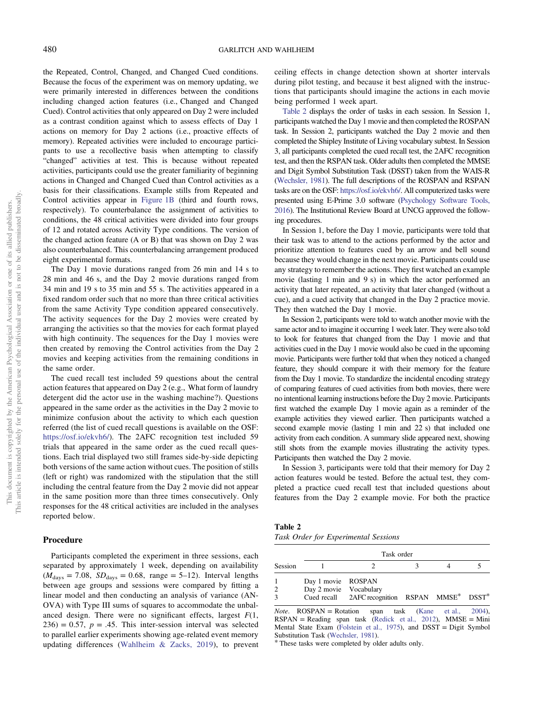the Repeated, Control, Changed, and Changed Cued conditions. Because the focus of the experiment was on memory updating, we were primarily interested in differences between the conditions including changed action features (i.e., Changed and Changed Cued). Control activities that only appeared on Day 2 were included as a contrast condition against which to assess effects of Day 1 actions on memory for Day 2 actions (i.e., proactive effects of memory). Repeated activities were included to encourage participants to use a recollective basis when attempting to classify "changed" activities at test. This is because without repeated activities, participants could use the greater familiarity of beginning actions in Changed and Changed Cued than Control activities as a basis for their classifications. Example stills from Repeated and Control activities appear in [Figure 1B](#page-4-0) (third and fourth rows, respectively). To counterbalance the assignment of activities to conditions, the 48 critical activities were divided into four groups of 12 and rotated across Activity Type conditions. The version of the changed action feature (A or B) that was shown on Day 2 was also counterbalanced. This counterbalancing arrangement produced eight experimental formats.

The Day 1 movie durations ranged from 26 min and 14 s to 28 min and 46 s, and the Day 2 movie durations ranged from 34 min and 19 s to 35 min and 55 s. The activities appeared in a fixed random order such that no more than three critical activities from the same Activity Type condition appeared consecutively. The activity sequences for the Day 2 movies were created by arranging the activities so that the movies for each format played with high continuity. The sequences for the Day 1 movies were then created by removing the Control activities from the Day 2 movies and keeping activities from the remaining conditions in the same order.

The cued recall test included 59 questions about the central action features that appeared on Day 2 (e.g., What form of laundry detergent did the actor use in the washing machine?). Questions appeared in the same order as the activities in the Day 2 movie to minimize confusion about the activity to which each question referred (the list of cued recall questions is available on the OSF: [https://osf.io/ekvh6/\)](https://osf.io/ekvh6/). The 2AFC recognition test included 59 trials that appeared in the same order as the cued recall questions. Each trial displayed two still frames side-by-side depicting both versions of the same action without cues. The position of stills (left or right) was randomized with the stipulation that the still including the central feature from the Day 2 movie did not appear in the same position more than three times consecutively. Only responses for the 48 critical activities are included in the analyses reported below.

#### Procedure

Participants completed the experiment in three sessions, each separated by approximately 1 week, depending on availability  $(M<sub>days</sub> = 7.08, SD<sub>days</sub> = 0.68, range = 5-12)$ . Interval lengths between age groups and sessions were compared by fitting a linear model and then conducting an analysis of variance (AN-OVA) with Type III sums of squares to accommodate the unbalanced design. There were no significant effects, largest  $F(1, 1)$  $236$ ) = 0.57,  $p = .45$ . This inter-session interval was selected to parallel earlier experiments showing age-related event memory updating differences [\(Wahlheim & Zacks, 2019\)](#page-14-0), to prevent ceiling effects in change detection shown at shorter intervals during pilot testing, and because it best aligned with the instructions that participants should imagine the actions in each movie being performed 1 week apart.

Table 2 displays the order of tasks in each session. In Session 1, participants watched the Day 1 movie and then completed the ROSPAN task. In Session 2, participants watched the Day 2 movie and then completed the Shipley Institute of Living vocabulary subtest. In Session 3, all participants completed the cued recall test, the 2AFC recognition test, and then the RSPAN task. Older adults then completed the MMSE and Digit Symbol Substitution Task (DSST) taken from the WAIS-R ([Wechsler, 1981](#page-14-0)). The full descriptions of the ROSPAN and RSPAN tasks are on the OSF: <https://osf.io/ekvh6/>. All computerized tasks were presented using E-Prime 3.0 software ([Psychology Software Tools,](#page-14-0) [2016](#page-14-0)). The Institutional Review Board at UNCG approved the following procedures.

In Session 1, before the Day 1 movie, participants were told that their task was to attend to the actions performed by the actor and prioritize attention to features cued by an arrow and bell sound because they would change in the next movie. Participants could use any strategy to remember the actions. They first watched an example movie (lasting 1 min and 9 s) in which the actor performed an activity that later repeated, an activity that later changed (without a cue), and a cued activity that changed in the Day 2 practice movie. They then watched the Day 1 movie.

In Session 2, participants were told to watch another movie with the same actor and to imagine it occurring 1 week later. They were also told to look for features that changed from the Day 1 movie and that activities cued in the Day 1 movie would also be cued in the upcoming movie. Participants were further told that when they noticed a changed feature, they should compare it with their memory for the feature from the Day 1 movie. To standardize the incidental encoding strategy of comparing features of cued activities from both movies, there were no intentional learning instructions before the Day 2 movie. Participants first watched the example Day 1 movie again as a reminder of the example activities they viewed earlier. Then participants watched a second example movie (lasting 1 min and 22 s) that included one activity from each condition. A summary slide appeared next, showing still shots from the example movies illustrating the activity types. Participants then watched the Day 2 movie.

In Session 3, participants were told that their memory for Day 2 action features would be tested. Before the actual test, they completed a practice cued recall test that included questions about features from the Day 2 example movie. For both the practice

| Table 2                              |  |
|--------------------------------------|--|
| Task Order for Experimental Sessions |  |

|         | Task order                                   |                                                |  |  |  |  |  |
|---------|----------------------------------------------|------------------------------------------------|--|--|--|--|--|
| Session |                                              |                                                |  |  |  |  |  |
| 2       | Day 1 movie ROSPAN<br>Day 2 movie Vocabulary |                                                |  |  |  |  |  |
| 3       |                                              | Cued recall 2AFC recognition RSPAN MMSE* DSST* |  |  |  |  |  |

*Note.*  $ROSPAN = Rotation$  span task ([Kane et al., 2004](#page-13-0)),  $RSPAN = Reading$  span task [\(Redick et al., 2012\)](#page-14-0), MMSE = Mini Mental State Exam [\(Folstein et al., 1975](#page-13-0)), and DSST = Digit Symbol Substitution Task [\(Wechsler, 1981\)](#page-14-0). \* These tasks were completed by older adults only.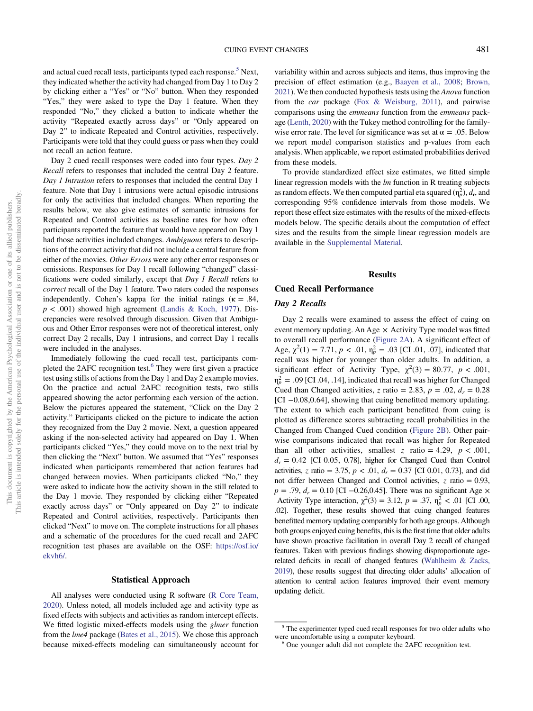and actual cued recall tests, participants typed each response.<sup>5</sup> Next, they indicated whether the activity had changed from Day 1 to Day 2 by clicking either a "Yes" or "No" button. When they responded "Yes," they were asked to type the Day 1 feature. When they responded "No," they clicked a button to indicate whether the activity "Repeated exactly across days" or "Only appeared on Day 2" to indicate Repeated and Control activities, respectively. Participants were told that they could guess or pass when they could not recall an action feature.

Day 2 cued recall responses were coded into four types. Day 2 Recall refers to responses that included the central Day 2 feature. Day 1 Intrusion refers to responses that included the central Day 1 feature. Note that Day 1 intrusions were actual episodic intrusions for only the activities that included changes. When reporting the results below, we also give estimates of semantic intrusions for Repeated and Control activities as baseline rates for how often participants reported the feature that would have appeared on Day 1 had those activities included changes. Ambiguous refers to descriptions of the correct activity that did not include a central feature from either of the movies. Other Errors were any other error responses or omissions. Responses for Day 1 recall following "changed" classifications were coded similarly, except that Day 1 Recall refers to correct recall of the Day 1 feature. Two raters coded the responses independently. Cohen's kappa for the initial ratings ( $\kappa = .84$ ,  $p < .001$ ) showed high agreement ([Landis & Koch, 1977\)](#page-13-0). Discrepancies were resolved through discussion. Given that Ambiguous and Other Error responses were not of theoretical interest, only correct Day 2 recalls, Day 1 intrusions, and correct Day 1 recalls were included in the analyses.

Immediately following the cued recall test, participants completed the 2AFC recognition test.<sup>6</sup> They were first given a practice test using stills of actions from the Day 1 and Day 2 example movies. On the practice and actual 2AFC recognition tests, two stills appeared showing the actor performing each version of the action. Below the pictures appeared the statement, "Click on the Day 2 activity." Participants clicked on the picture to indicate the action they recognized from the Day 2 movie. Next, a question appeared asking if the non-selected activity had appeared on Day 1. When participants clicked "Yes," they could move on to the next trial by then clicking the "Next" button. We assumed that "Yes" responses indicated when participants remembered that action features had changed between movies. When participants clicked "No," they were asked to indicate how the activity shown in the still related to the Day 1 movie. They responded by clicking either "Repeated exactly across days" or "Only appeared on Day 2" to indicate Repeated and Control activities, respectively. Participants then clicked "Next" to move on. The complete instructions for all phases and a schematic of the procedures for the cued recall and 2AFC recognition test phases are available on the OSF: [https://osf.io/](https://osf.io/ekvh6/) [ekvh6/](https://osf.io/ekvh6/).

#### Statistical Approach

All analyses were conducted using R software [\(R Core Team,](#page-14-0) [2020\)](#page-14-0). Unless noted, all models included age and activity type as fixed effects with subjects and activities as random intercept effects. We fitted logistic mixed-effects models using the *glmer* function from the lme4 package ([Bates et al., 2015](#page-12-0)). We chose this approach because mixed-effects modeling can simultaneously account for variability within and across subjects and items, thus improving the precision of effect estimation (e.g., [Baayen et al., 2008;](#page-12-0) [Brown,](#page-13-0) [2021](#page-13-0)). We then conducted hypothesis tests using the Anova function from the car package ([Fox & Weisburg, 2011](#page-13-0)), and pairwise comparisons using the emmeans function from the emmeans package [\(Lenth, 2020\)](#page-13-0) with the Tukey method controlling for the familywise error rate. The level for significance was set at  $\alpha = .05$ . Below we report model comparison statistics and p-values from each analysis. When applicable, we report estimated probabilities derived from these models.

To provide standardized effect size estimates, we fitted simple linear regression models with the lm function in R treating subjects as random effects. We then computed partial eta squared  $(\eta_p^2)$ ,  $d_r$ , and corresponding 95% confidence intervals from those models. We report these effect size estimates with the results of the mixed-effects models below. The specific details about the computation of effect sizes and the results from the simple linear regression models are available in the [Supplemental Material.](https://doi.org/10.1037/pag0000503.supp)

#### Results

# Cued Recall Performance

#### Day 2 Recalls

Day 2 recalls were examined to assess the effect of cuing on event memory updating. An Age  $\times$  Activity Type model was fitted to overall recall performance ([Figure 2A\)](#page-7-0). A significant effect of Age,  $\chi^2(1) = 7.71$ ,  $p < .01$ ,  $\eta_p^2 = .03$  [CI .01, .07], indicated that recall was higher for younger than older adults. In addition, a significant effect of Activity Type,  $\chi^2(3) = 80.77$ ,  $p < .001$ ,  $\eta_p^2 = .09$  [CI .04, .14], indicated that recall was higher for Changed Cued than Changed activities, z ratio = 2.83,  $p = .02$ ,  $d_r = 0.28$ [CI −0.08,0.64], showing that cuing benefitted memory updating. The extent to which each participant benefitted from cuing is plotted as difference scores subtracting recall probabilities in the Changed from Changed Cued condition ([Figure 2B](#page-7-0)). Other pairwise comparisons indicated that recall was higher for Repeated than all other activities, smallest z ratio = 4.29,  $p < .001$ ,  $d_r = 0.42$  [CI 0.05, 0.78], higher for Changed Cued than Control activities, z ratio = 3.75,  $p < .01$ ,  $d_r = 0.37$  [CI 0.01, 0.73], and did not differ between Changed and Control activities,  $z$  ratio = 0.93,  $p = .79$ ,  $d_r = 0.10$  [CI -0.26,0.45]. There was no significant Age  $\times$ Activity Type interaction,  $\chi^2(3) = 3.12$ ,  $p = .37$ ,  $\eta_p^2 < .01$  [CI .00, .02]. Together, these results showed that cuing changed features benefitted memory updating comparably for both age groups. Although both groups enjoyed cuing benefits, this is the first time that older adults have shown proactive facilitation in overall Day 2 recall of changed features. Taken with previous findings showing disproportionate agerelated deficits in recall of changed features ([Wahlheim & Zacks,](#page-14-0) [2019](#page-14-0)), these results suggest that directing older adults' allocation of attention to central action features improved their event memory updating deficit.

<sup>&</sup>lt;sup>5</sup> The experimenter typed cued recall responses for two older adults who were uncomfortable using a computer keyboard.<br><sup>6</sup> One younger adult did not complete the 2AFC recognition test.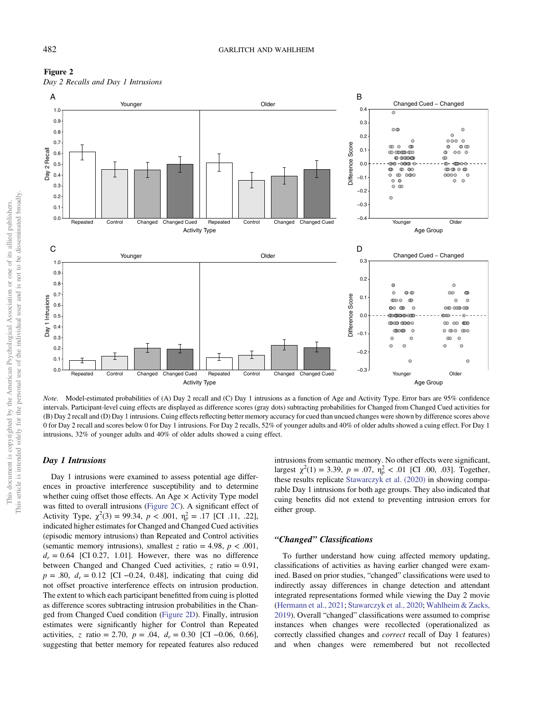<span id="page-7-0"></span>



Note. Model-estimated probabilities of (A) Day 2 recall and (C) Day 1 intrusions as a function of Age and Activity Type. Error bars are 95% confidence intervals. Participant-level cuing effects are displayed as difference scores (gray dots) subtracting probabilities for Changed from Changed Cued activities for (B) Day 2 recall and (D) Day 1 intrusions. Cuing effects reflecting better memory accuracy for cued than uncued changes were shown by difference scores above 0 for Day 2 recall and scores below 0 for Day 1 intrusions. For Day 2 recalls, 52% of younger adults and 40% of older adults showed a cuing effect. For Day 1 intrusions, 32% of younger adults and 40% of older adults showed a cuing effect.

# Day 1 Intrusions

Day 1 intrusions were examined to assess potential age differences in proactive interference susceptibility and to determine whether cuing offset those effects. An Age  $\times$  Activity Type model was fitted to overall intrusions (Figure 2C). A significant effect of Activity Type,  $\chi^2(3) = 99.34$ ,  $p < .001$ ,  $\eta_p^2 = .17$  [CI .11, .22], indicated higher estimates for Changed and Changed Cued activities (episodic memory intrusions) than Repeated and Control activities (semantic memory intrusions), smallest z ratio = 4.98,  $p < .001$ ,  $d_r = 0.64$  [CI 0.27, 1.01]. However, there was no difference between Changed and Changed Cued activities,  $z$  ratio = 0.91,  $p = .80$ ,  $d<sub>r</sub> = 0.12$  [CI –0.24, 0.48], indicating that cuing did not offset proactive interference effects on intrusion production. The extent to which each participant benefitted from cuing is plotted as difference scores subtracting intrusion probabilities in the Changed from Changed Cued condition (Figure 2D). Finally, intrusion estimates were significantly higher for Control than Repeated activities, z ratio = 2.70,  $p = .04$ ,  $d<sub>r</sub> = 0.30$  [CI -0.06, 0.66], suggesting that better memory for repeated features also reduced intrusions from semantic memory. No other effects were significant, largest  $\chi^2(1) = 3.39$ ,  $p = .07$ ,  $\eta_p^2 < .01$  [CI .00, .03]. Together, these results replicate [Stawarczyk et al. \(2020\)](#page-14-0) in showing comparable Day 1 intrusions for both age groups. They also indicated that cuing benefits did not extend to preventing intrusion errors for either group.

#### "Changed" Classifications

To further understand how cuing affected memory updating, classifications of activities as having earlier changed were examined. Based on prior studies, "changed" classifications were used to indirectly assay differences in change detection and attendant integrated representations formed while viewing the Day 2 movie ([Hermann et al., 2021;](#page-13-0) [Stawarczyk et al., 2020;](#page-14-0) [Wahlheim & Zacks,](#page-14-0) [2019\)](#page-14-0). Overall "changed" classifications were assumed to comprise instances when changes were recollected (operationalized as correctly classified changes and correct recall of Day 1 features) and when changes were remembered but not recollected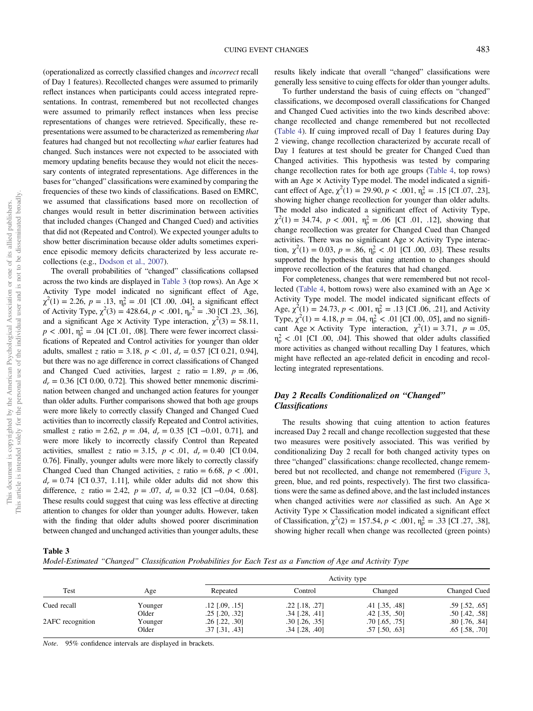This article is intended solely for the personal use of the individual user and is not to be disseminated broadly.

<span id="page-8-0"></span>(operationalized as correctly classified changes and incorrect recall of Day 1 features). Recollected changes were assumed to primarily reflect instances when participants could access integrated representations. In contrast, remembered but not recollected changes were assumed to primarily reflect instances when less precise representations of changes were retrieved. Specifically, these representations were assumed to be characterized as remembering that features had changed but not recollecting what earlier features had changed. Such instances were not expected to be associated with memory updating benefits because they would not elicit the necessary contents of integrated representations. Age differences in the bases for "changed" classifications were examined by comparing the frequencies of these two kinds of classifications. Based on EMRC, we assumed that classifications based more on recollection of changes would result in better discrimination between activities that included changes (Changed and Changed Cued) and activities that did not (Repeated and Control). We expected younger adults to show better discrimination because older adults sometimes experience episodic memory deficits characterized by less accurate recollections (e.g., [Dodson et al., 2007\)](#page-13-0).

The overall probabilities of "changed" classifications collapsed across the two kinds are displayed in Table 3 (top rows). An Age  $\times$ Activity Type model indicated no significant effect of Age,  $\chi^2(1) = 2.26$ ,  $p = .13$ ,  $\eta_p^2 = .01$  [CI .00, .04], a significant effect of Activity Type,  $\chi^2(3) = 428.64$ ,  $p < .001$ ,  $\eta_p^2 = .30$  [CI .23, .36], and a significant Age  $\times$  Activity Type interaction,  $\chi^2(3) = 58.11$ ,  $p < .001$ ,  $\eta_p^2 = .04$  [CI .01, .08]. There were fewer incorrect classifications of Repeated and Control activities for younger than older adults, smallest z ratio = 3.18,  $p < .01$ ,  $d_r = 0.57$  [CI 0.21, 0.94], but there was no age difference in correct classifications of Changed and Changed Cued activities, largest z ratio = 1.89,  $p = .06$ ,  $d_r = 0.36$  [CI 0.00, 0.72]. This showed better mnemonic discrimination between changed and unchanged action features for younger than older adults. Further comparisons showed that both age groups were more likely to correctly classify Changed and Changed Cued activities than to incorrectly classify Repeated and Control activities, smallest z ratio = 2.62,  $p = .04$ ,  $d<sub>r</sub> = 0.35$  [CI -0.01, 0.71], and were more likely to incorrectly classify Control than Repeated activities, smallest z ratio = 3.15,  $p < .01$ ,  $d_r = 0.40$  [CI 0.04, 0.76]. Finally, younger adults were more likely to correctly classify Changed Cued than Changed activities, z ratio = 6.68,  $p < .001$ ,  $d_r = 0.74$  [CI 0.37, 1.11], while older adults did not show this difference, z ratio = 2.42,  $p = .07$ ,  $d_r = 0.32$  [CI -0.04, 0.68]. These results could suggest that cuing was less effective at directing attention to changes for older than younger adults. However, taken with the finding that older adults showed poorer discrimination between changed and unchanged activities than younger adults, these results likely indicate that overall "changed" classifications were generally less sensitive to cuing effects for older than younger adults.

To further understand the basis of cuing effects on "changed" classifications, we decomposed overall classifications for Changed and Changed Cued activities into the two kinds described above: change recollected and change remembered but not recollected ([Table 4\)](#page-9-0). If cuing improved recall of Day 1 features during Day 2 viewing, change recollection characterized by accurate recall of Day 1 features at test should be greater for Changed Cued than Changed activities. This hypothesis was tested by comparing change recollection rates for both age groups ([Table 4,](#page-9-0) top rows) with an Age  $\times$  Activity Type model. The model indicated a significant effect of Age,  $\chi^2(1) = 29.90, p < .001, \eta_p^2 = .15$  [CI .07, .23], showing higher change recollection for younger than older adults. The model also indicated a significant effect of Activity Type,  $\chi^2(1) = 34.74$ ,  $p < .001$ ,  $\eta_p^2 = .06$  [CI .01, .12], showing that change recollection was greater for Changed Cued than Changed activities. There was no significant Age  $\times$  Activity Type interaction,  $\chi^2(1) = 0.03$ ,  $p = .86$ ,  $\eta_p^2 < .01$  [CI .00, .03]. These results supported the hypothesis that cuing attention to changes should improve recollection of the features that had changed.

For completeness, changes that were remembered but not recol-lected [\(Table 4,](#page-9-0) bottom rows) were also examined with an Age  $\times$ Activity Type model. The model indicated significant effects of Age,  $\chi^2(1) = 24.73$ ,  $p < .001$ ,  $\eta_p^2 = .13$  [CI .06, .21], and Activity Type,  $\chi^2(1) = 4.18$ ,  $p = .04$ ,  $\eta_p^2 < .01$  [CI .00, .05], and no significant Age × Activity Type interaction,  $\chi^2(1) = 3.71$ ,  $p = .05$ ,  $\eta_p^2$  < .01 [CI .00, .04]. This showed that older adults classified more activities as changed without recalling Day 1 features, which might have reflected an age-related deficit in encoding and recollecting integrated representations.

# Day 2 Recalls Conditionalized on "Changed" Classifications

The results showing that cuing attention to action features increased Day 2 recall and change recollection suggested that these two measures were positively associated. This was verified by conditionalizing Day 2 recall for both changed activity types on three "changed" classifications: change recollected, change remembered but not recollected, and change not remembered [\(Figure 3,](#page-9-0) green, blue, and red points, respectively). The first two classifications were the same as defined above, and the last included instances when changed activities were *not* classified as such. An Age  $\times$ Activity Type  $\times$  Classification model indicated a significant effect of Classification,  $\chi^2(2) = 157.54$ ,  $p < .001$ ,  $\eta_p^2 = .33$  [CI .27, .38], showing higher recall when change was recollected (green points)

Table 3

Model-Estimated "Changed" Classification Probabilities for Each Test as a Function of Age and Activity Type

| Test             |         |                    | Activity type      |                      |                  |  |
|------------------|---------|--------------------|--------------------|----------------------|------------------|--|
|                  | Age     | Repeated           | Control            | Changed              | Changed Cued     |  |
| Cued recall      | Younger | $.12$ $[.09, .15]$ | $.22$ $[.18, .27]$ | $.41$ $[.35, .48]$   | $.59$ [.52, .65] |  |
|                  | Older   | $.25$ [.20, .32]   | $.34$ [.28, .41]   | $.42$ [ $.35, .50$ ] | $.50$ [.42, .58] |  |
| 2AFC recognition | Younger | $.26$ [.22, .30]   | $.30$ [.26, .35]   | $.70$ [.65, .75]     | $.80$ [.76, .84] |  |
|                  | Older   | $.37$ [.31, .43]   | $.34$ $[.28, .40]$ | $.57$ $[.50, .63]$   | $.65$ [.58, .70] |  |

Note. 95% confidence intervals are displayed in brackets.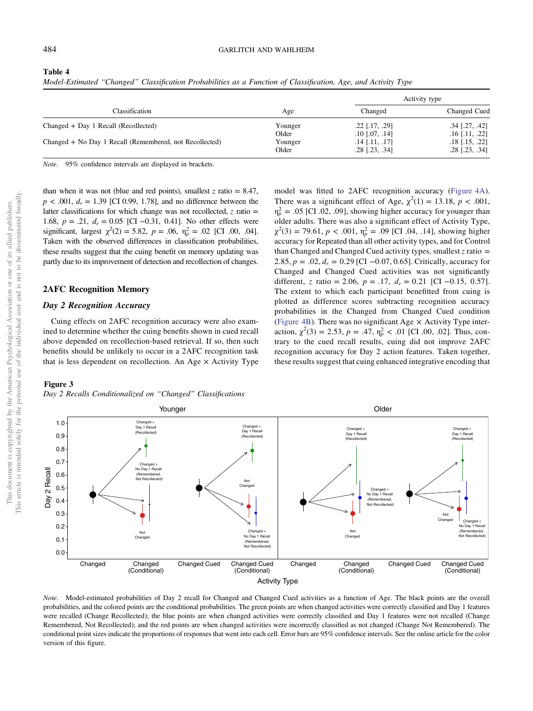<span id="page-9-0"></span>

| Table 4 |  |
|---------|--|
|---------|--|

| Model-Estimated "Changed" Classification Probabilities as a Function of Classification, Age, and Activity Type |  |  |  |  |
|----------------------------------------------------------------------------------------------------------------|--|--|--|--|
|                                                                                                                |  |  |  |  |

|                                                         |         | Activity type      |                  |
|---------------------------------------------------------|---------|--------------------|------------------|
| Classification                                          | Age     | Changed            | Changed Cued     |
| Changed + Day 1 Recall (Recollected)                    | Younger | $.22$ [.17, .29]   | $.34$ [.27, .42] |
|                                                         | Older   | $.10$ [.07, .14]   | $.16$ [.11, .22] |
| Changed + No Day 1 Recall (Remembered, not Recollected) | Younger | $.14$ [.11, .17]   | $.18$ [.15, .22] |
|                                                         | Older   | $.28$ $[.23, .34]$ | .28 [.23, .34]   |

Note. 95% confidence intervals are displayed in brackets.

than when it was not (blue and red points), smallest  $z$  ratio = 8.47,  $p < .001$ ,  $d<sub>r</sub> = 1.39$  [CI 0.99, 1.78], and no difference between the latter classifications for which change was not recollected,  $z$  ratio = 1.68,  $p = .21$ ,  $d_r = 0.05$  [CI -0.31, 0.41]. No other effects were significant, largest  $\chi^2(2) = 5.82$ ,  $p = .06$ ,  $\eta_p^2 = .02$  [CI .00, .04]. Taken with the observed differences in classification probabilities, these results suggest that the cuing benefit on memory updating was partly due to its improvement of detection and recollection of changes.

# 2AFC Recognition Memory

# Day 2 Recognition Accuracy

Cuing effects on 2AFC recognition accuracy were also examined to determine whether the cuing benefits shown in cued recall above depended on recollection-based retrieval. If so, then such benefits should be unlikely to occur in a 2AFC recognition task that is less dependent on recollection. An Age  $\times$  Activity Type

# model was fitted to 2AFC recognition accuracy [\(Figure 4A\)](#page-10-0). There was a significant effect of Age,  $\chi^2(1) = 13.18$ ,  $p < .001$ ,  $\eta_p^2 = .05$  [CI .02, .09], showing higher accuracy for younger than older adults. There was also a significant effect of Activity Type,  $\chi^2(3) = 79.61$ ,  $p < .001$ ,  $\eta_p^2 = .09$  [CI .04, .14], showing higher accuracy for Repeated than all other activity types, and for Control than Changed and Changed Cued activity types, smallest  $\zeta$  ratio = 2.85,  $p = .02$ ,  $d_r = 0.29$  [CI -0.07, 0.65]. Critically, accuracy for Changed and Changed Cued activities was not significantly different, z ratio = 2.06,  $p = .17$ ,  $d<sub>r</sub> = 0.21$  [CI -0.15, 0.57]. The extent to which each participant benefitted from cuing is plotted as difference scores subtracting recognition accuracy probabilities in the Changed from Changed Cued condition ([Figure 4B\)](#page-10-0). There was no significant Age  $\times$  Activity Type interaction,  $\chi^2(3) = 2.53$ ,  $p = .47$ ,  $\eta_p^2 < .01$  [CI .00, .02]. Thus, contrary to the cued recall results, cuing did not improve 2AFC recognition accuracy for Day 2 action features. Taken together, these results suggest that cuing enhanced integrative encoding that

Day 2 Recalls Conditionalized on "Changed" Classifications



Note. Model-estimated probabilities of Day 2 recall for Changed and Changed Cued activities as a function of Age. The black points are the overall probabilities, and the colored points are the conditional probabilities. The green points are when changed activities were correctly classified and Day 1 features were recalled (Change Recollected); the blue points are when changed activities were correctly classified and Day 1 features were not recalled (Change Remembered, Not Recollected); and the red points are when changed activities were incorrectly classified as not changed (Change Not Remembered). The conditional point sizes indicate the proportions of responses that went into each cell. Error bars are 95% confidence intervals. See the online article for the color version of this figure.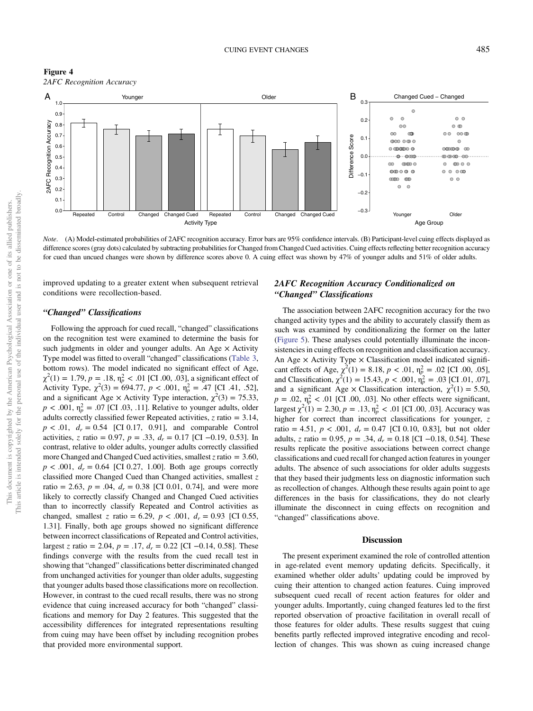<span id="page-10-0"></span>Figure 4 2AFC Recognition Accuracy



Note. (A) Model-estimated probabilities of 2AFC recognition accuracy. Error bars are 95% confidence intervals. (B) Participant-level cuing effects displayed as difference scores (gray dots) calculated by subtracting probabilities for Changed from Changed Cued activities. Cuing effects reflecting better recognition accuracy for cued than uncued changes were shown by difference scores above 0. A cuing effect was shown by 47% of younger adults and 51% of older adults.

improved updating to a greater extent when subsequent retrieval conditions were recollection-based.

### "Changed" Classifications

Following the approach for cued recall, "changed" classifications on the recognition test were examined to determine the basis for such judgments in older and younger adults. An Age  $\times$  Activity Type model was fitted to overall "changed" classifications [\(Table 3,](#page-8-0) bottom rows). The model indicated no significant effect of Age,  $\chi^2(1) = 1.79, p = .18, \eta_p^2 < .01$  [CI .00, .03], a significant effect of Activity Type,  $\chi^2(3) = 694.77$ ,  $p < .001$ ,  $\eta_p^2 = .47$  [CI .41, .52], and a significant Age  $\times$  Activity Type interaction,  $\chi^2(3) = 75.33$ ,  $p < .001$ ,  $\eta_p^2 = .07$  [CI .03, .11]. Relative to younger adults, older adults correctly classified fewer Repeated activities,  $z$  ratio = 3.14,  $p < .01$ ,  $d_r = 0.54$  [CI 0.17, 0.91], and comparable Control activities, z ratio = 0.97,  $p = .33$ ,  $d<sub>r</sub> = 0.17$  [CI -0.19, 0.53]. In contrast, relative to older adults, younger adults correctly classified more Changed and Changed Cued activities, smallest  $z$  ratio = 3.60,  $p < .001$ ,  $d_r = 0.64$  [CI 0.27, 1.00]. Both age groups correctly classified more Changed Cued than Changed activities, smallest z ratio = 2.63,  $p = .04$ ,  $d_r = 0.38$  [CI 0.01, 0.74], and were more likely to correctly classify Changed and Changed Cued activities than to incorrectly classify Repeated and Control activities as changed, smallest z ratio = 6.29,  $p < .001$ ,  $d_r = 0.93$  [CI 0.55, 1.31]. Finally, both age groups showed no significant difference between incorrect classifications of Repeated and Control activities, largest z ratio = 2.04,  $p = .17$ ,  $d_r = 0.22$  [CI -0.14, 0.58]. These findings converge with the results from the cued recall test in showing that "changed" classifications better discriminated changed from unchanged activities for younger than older adults, suggesting that younger adults based those classifications more on recollection. However, in contrast to the cued recall results, there was no strong evidence that cuing increased accuracy for both "changed" classifications and memory for Day 2 features. This suggested that the accessibility differences for integrated representations resulting from cuing may have been offset by including recognition probes that provided more environmental support.

# 2AFC Recognition Accuracy Conditionalized on "Changed" Classifications

The association between 2AFC recognition accuracy for the two changed activity types and the ability to accurately classify them as such was examined by conditionalizing the former on the latter ([Figure 5\)](#page-11-0). These analyses could potentially illuminate the inconsistencies in cuing effects on recognition and classification accuracy. An Age  $\times$  Activity Type  $\times$  Classification model indicated significant effects of Age,  $\chi^2(1) = 8.18$ ,  $p < .01$ ,  $\eta_p^2 = .02$  [CI .00, .05], and Classification,  $\chi^2(1) = 15.43, p < .001, \eta_p^2 = .03$  [CI .01, .07], and a significant Age  $\times$  Classification interaction,  $\chi^2(1) = 5.50$ ,  $p = .02$ ,  $\eta_p^2 < .01$  [CI .00, .03]. No other effects were significant, largest  $\chi^2(1) = 2.30, p = .13, \eta_p^2 < .01$  [CI .00, .03]. Accuracy was higher for correct than incorrect classifications for younger, z ratio = 4.51,  $p < .001$ ,  $d<sub>r</sub> = 0.47$  [CI 0.10, 0.83], but not older adults, z ratio = 0.95,  $p = .34$ ,  $d<sub>r</sub> = 0.18$  [CI –0.18, 0.54]. These results replicate the positive associations between correct change classifications and cued recall for changed action features in younger adults. The absence of such associations for older adults suggests that they based their judgments less on diagnostic information such as recollection of changes. Although these results again point to age differences in the basis for classifications, they do not clearly illuminate the disconnect in cuing effects on recognition and "changed" classifications above.

#### **Discussion**

The present experiment examined the role of controlled attention in age-related event memory updating deficits. Specifically, it examined whether older adults' updating could be improved by cuing their attention to changed action features. Cuing improved subsequent cued recall of recent action features for older and younger adults. Importantly, cuing changed features led to the first reported observation of proactive facilitation in overall recall of those features for older adults. These results suggest that cuing benefits partly reflected improved integrative encoding and recollection of changes. This was shown as cuing increased change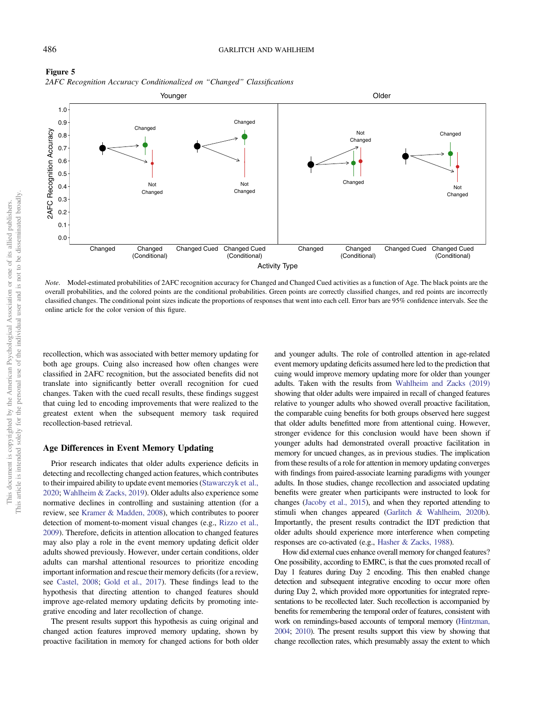

<span id="page-11-0"></span>

Note. Model-estimated probabilities of 2AFC recognition accuracy for Changed and Changed Cued activities as a function of Age. The black points are the overall probabilities, and the colored points are the conditional probabilities. Green points are correctly classified changes, and red points are incorrectly classified changes. The conditional point sizes indicate the proportions of responses that went into each cell. Error bars are 95% confidence intervals. See the online article for the color version of this figure.

recollection, which was associated with better memory updating for both age groups. Cuing also increased how often changes were classified in 2AFC recognition, but the associated benefits did not translate into significantly better overall recognition for cued changes. Taken with the cued recall results, these findings suggest that cuing led to encoding improvements that were realized to the greatest extent when the subsequent memory task required recollection-based retrieval.

# Age Differences in Event Memory Updating

Prior research indicates that older adults experience deficits in detecting and recollecting changed action features, which contributes to their impaired ability to update event memories [\(Stawarczyk et al.,](#page-14-0) [2020;](#page-14-0) [Wahlheim & Zacks, 2019\)](#page-14-0). Older adults also experience some normative declines in controlling and sustaining attention (for a review, see [Kramer & Madden, 2008\)](#page-13-0), which contributes to poorer detection of moment-to-moment visual changes (e.g., [Rizzo et al.,](#page-14-0) [2009\)](#page-14-0). Therefore, deficits in attention allocation to changed features may also play a role in the event memory updating deficit older adults showed previously. However, under certain conditions, older adults can marshal attentional resources to prioritize encoding important information and rescue their memory deficits (for a review, see [Castel, 2008;](#page-13-0) [Gold et al., 2017](#page-13-0)). These findings lead to the hypothesis that directing attention to changed features should improve age-related memory updating deficits by promoting integrative encoding and later recollection of change.

The present results support this hypothesis as cuing original and changed action features improved memory updating, shown by proactive facilitation in memory for changed actions for both older

and younger adults. The role of controlled attention in age-related event memory updating deficits assumed here led to the prediction that cuing would improve memory updating more for older than younger adults. Taken with the results from [Wahlheim and Zacks \(2019\)](#page-14-0) showing that older adults were impaired in recall of changed features relative to younger adults who showed overall proactive facilitation, the comparable cuing benefits for both groups observed here suggest that older adults benefitted more from attentional cuing. However, stronger evidence for this conclusion would have been shown if younger adults had demonstrated overall proactive facilitation in memory for uncued changes, as in previous studies. The implication from these results of a role for attention in memory updating converges with findings from paired-associate learning paradigms with younger adults. In those studies, change recollection and associated updating benefits were greater when participants were instructed to look for changes [\(Jacoby et al., 2015\)](#page-13-0), and when they reported attending to stimuli when changes appeared ([Garlitch & Wahlheim, 2020b\)](#page-13-0). Importantly, the present results contradict the IDT prediction that older adults should experience more interference when competing responses are co-activated (e.g., [Hasher & Zacks, 1988\)](#page-13-0).

How did external cues enhance overall memory for changed features? One possibility, according to EMRC, is that the cues promoted recall of Day 1 features during Day 2 encoding. This then enabled change detection and subsequent integrative encoding to occur more often during Day 2, which provided more opportunities for integrated representations to be recollected later. Such recollection is accompanied by benefits for remembering the temporal order of features, consistent with work on remindings-based accounts of temporal memory ([Hintzman,](#page-13-0) [2004;](#page-13-0) [2010\)](#page-13-0). The present results support this view by showing that change recollection rates, which presumably assay the extent to which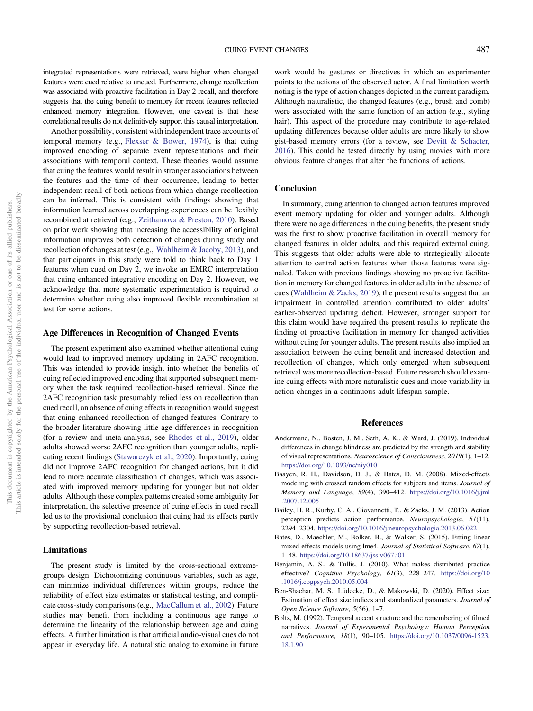<span id="page-12-0"></span>integrated representations were retrieved, were higher when changed features were cued relative to uncued. Furthermore, change recollection was associated with proactive facilitation in Day 2 recall, and therefore suggests that the cuing benefit to memory for recent features reflected enhanced memory integration. However, one caveat is that these correlational results do not definitively support this causal interpretation.

Another possibility, consistent with independent trace accounts of temporal memory (e.g., [Flexser & Bower, 1974](#page-13-0)), is that cuing improved encoding of separate event representations and their associations with temporal context. These theories would assume that cuing the features would result in stronger associations between the features and the time of their occurrence, leading to better independent recall of both actions from which change recollection can be inferred. This is consistent with findings showing that information learned across overlapping experiences can be flexibly recombined at retrieval (e.g., [Zeithamova & Preston, 2010\)](#page-15-0). Based on prior work showing that increasing the accessibility of original information improves both detection of changes during study and recollection of changes at test (e.g., [Wahlheim & Jacoby, 2013](#page-14-0)), and that participants in this study were told to think back to Day 1 features when cued on Day 2, we invoke an EMRC interpretation that cuing enhanced integrative encoding on Day 2. However, we acknowledge that more systematic experimentation is required to determine whether cuing also improved flexible recombination at test for some actions.

# Age Differences in Recognition of Changed Events

The present experiment also examined whether attentional cuing would lead to improved memory updating in 2AFC recognition. This was intended to provide insight into whether the benefits of cuing reflected improved encoding that supported subsequent memory when the task required recollection-based retrieval. Since the 2AFC recognition task presumably relied less on recollection than cued recall, an absence of cuing effects in recognition would suggest that cuing enhanced recollection of changed features. Contrary to the broader literature showing little age differences in recognition (for a review and meta-analysis, see [Rhodes et al., 2019\)](#page-14-0), older adults showed worse 2AFC recognition than younger adults, replicating recent findings ([Stawarczyk et al., 2020](#page-14-0)). Importantly, cuing did not improve 2AFC recognition for changed actions, but it did lead to more accurate classification of changes, which was associated with improved memory updating for younger but not older adults. Although these complex patterns created some ambiguity for interpretation, the selective presence of cuing effects in cued recall led us to the provisional conclusion that cuing had its effects partly by supporting recollection-based retrieval.

#### Limitations

The present study is limited by the cross-sectional extremegroups design. Dichotomizing continuous variables, such as age, can minimize individual differences within groups, reduce the reliability of effect size estimates or statistical testing, and complicate cross-study comparisons (e.g., [MacCallum et al., 2002\)](#page-14-0). Future studies may benefit from including a continuous age range to determine the linearity of the relationship between age and cuing effects. A further limitation is that artificial audio-visual cues do not appear in everyday life. A naturalistic analog to examine in future

work would be gestures or directives in which an experimenter points to the actions of the observed actor. A final limitation worth noting is the type of action changes depicted in the current paradigm. Although naturalistic, the changed features (e.g., brush and comb) were associated with the same function of an action (e.g., styling hair). This aspect of the procedure may contribute to age-related updating differences because older adults are more likely to show gist-based memory errors (for a review, see [Devitt & Schacter,](#page-13-0) [2016\)](#page-13-0). This could be tested directly by using movies with more obvious feature changes that alter the functions of actions.

# **Conclusion**

In summary, cuing attention to changed action features improved event memory updating for older and younger adults. Although there were no age differences in the cuing benefits, the present study was the first to show proactive facilitation in overall memory for changed features in older adults, and this required external cuing. This suggests that older adults were able to strategically allocate attention to central action features when those features were signaled. Taken with previous findings showing no proactive facilitation in memory for changed features in older adults in the absence of cues ([Wahlheim & Zacks, 2019](#page-14-0)), the present results suggest that an impairment in controlled attention contributed to older adults' earlier-observed updating deficit. However, stronger support for this claim would have required the present results to replicate the finding of proactive facilitation in memory for changed activities without cuing for younger adults. The present results also implied an association between the cuing benefit and increased detection and recollection of changes, which only emerged when subsequent retrieval was more recollection-based. Future research should examine cuing effects with more naturalistic cues and more variability in action changes in a continuous adult lifespan sample.

#### References

- Andermane, N., Bosten, J. M., Seth, A. K., & Ward, J. (2019). Individual differences in change blindness are predicted by the strength and stability of visual representations. Neuroscience of Consciousness, 2019(1), 1–12. <https://doi.org/10.1093/nc/niy010>
- Baayen, R. H., Davidson, D. J., & Bates, D. M. (2008). Mixed-effects modeling with crossed random effects for subjects and items. Journal of Memory and Language, 59(4), 390–412. [https://doi.org/10.1016/j.jml](https://doi.org/10.1016/j.jml.2007.12.005) [.2007.12.005](https://doi.org/10.1016/j.jml.2007.12.005)
- Bailey, H. R., Kurby, C. A., Giovannetti, T., & Zacks, J. M. (2013). Action perception predicts action performance. Neuropsychologia, 51(11), 2294–2304. <https://doi.org/10.1016/j.neuropsychologia.2013.06.022>
- Bates, D., Maechler, M., Bolker, B., & Walker, S. (2015). Fitting linear mixed-effects models using lme4. Journal of Statistical Software, 67(1), 1–48. <https://doi.org/10.18637/jss.v067.i01>
- Benjamin, A. S., & Tullis, J. (2010). What makes distributed practice effective? Cognitive Psychology, 61(3), 228–247. [https://doi.org/10](https://doi.org/10.1016/j.cogpsych.2010.05.004) [.1016/j.cogpsych.2010.05.004](https://doi.org/10.1016/j.cogpsych.2010.05.004)
- Ben-Shachar, M. S., Lüdecke, D., & Makowski, D. (2020). Effect size: Estimation of effect size indices and standardized parameters. Journal of Open Science Software, 5(56), 1–7.
- Boltz, M. (1992). Temporal accent structure and the remembering of filmed narratives. Journal of Experimental Psychology: Human Perception and Performance, 18(1), 90–105. [https://doi.org/10.1037/0096-1523.](https://doi.org/10.1037/0096-1523.18.1.90) [18.1.90](https://doi.org/10.1037/0096-1523.18.1.90)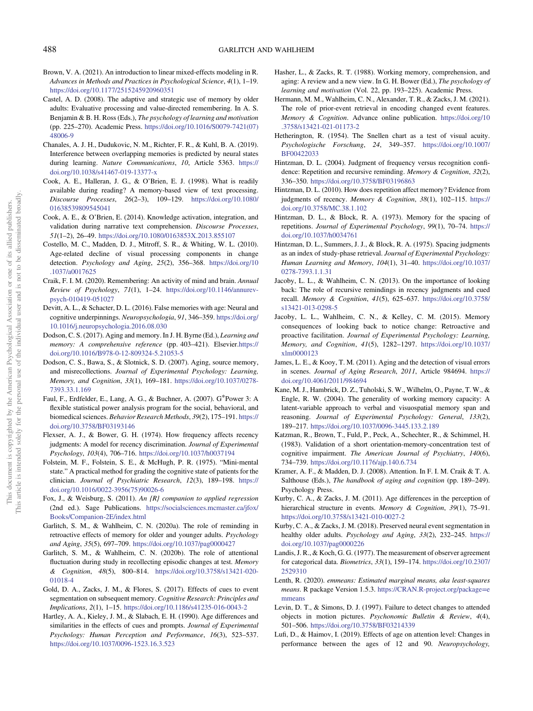- <span id="page-13-0"></span>Brown, V. A. (2021). An introduction to linear mixed-effects modeling in R. Advances in Methods and Practices in Psychological Science, 4(1), 1–19. <https://doi.org/10.1177/2515245920960351>
- Castel, A. D. (2008). The adaptive and strategic use of memory by older adults: Evaluative processing and value-directed remembering. In A. S. Benjamin & B. H. Ross (Eds.), The psychology of learning and motivation (pp. 225–270). Academic Press. [https://doi.org/10.1016/S0079-7421\(07\)](https://doi.org/10.1016/S0079-7421(07)48006-9) [48006-9](https://doi.org/10.1016/S0079-7421(07)48006-9)
- Chanales, A. J. H., Dudukovic, N. M., Richter, F. R., & Kuhl, B. A. (2019). Interference between overlapping memories is predicted by neural states during learning. Nature Communications, 10, Article 5363. [https://](https://doi.org/10.1038/s41467-019-13377-x) [doi.org/10.1038/s41467-019-13377-x](https://doi.org/10.1038/s41467-019-13377-x)
- Cook, A. E., Halleran, J. G., & O'Brien, E. J. (1998). What is readily ading reading. The during reading reading reading reading to the control of the control of the control of text processing.<br>
Sok, A. E., Halleran, J. G., & O'Brien, E. J. (1998). What is readily available during reading? A Discourse Processes, 26(2–3), 109–129. [https://doi.org/10.1080/](https://doi.org/10.1080/01638539809545041) [01638539809545041](https://doi.org/10.1080/01638539809545041)
- Cook, A. E., & O'Brien, E. (2014). Knowledge activation, integration, and validation during narrative text comprehension. Discourse Processes, 51(1–2), 26–49. <https://doi.org/10.1080/0163853X.2013.855107>
- Costello, M. C., Madden, D. J., Mitroff, S. R., & Whiting, W. L. (2010). Age-related decline of visual processing components in change detection. Psychology and Aging, 25(2), 356–368. [https://doi.org/10](https://doi.org/10.1037/a0017625) [.1037/a0017625](https://doi.org/10.1037/a0017625)
- Craik, F. I. M. (2020). Remembering: An activity of mind and brain. Annual Review of Psychology, 71(1), 1–24. [https://doi.org/10.1146/annurev](https://doi.org/10.1146/annurev-psych-010419-051027)[psych-010419-051027](https://doi.org/10.1146/annurev-psych-010419-051027)
- Devitt, A. L., & Schacter, D. L. (2016). False memories with age: Neural and cognitive underpinnings. Neuropsychologia, 91, 346–359. [https://doi.org/](https://doi.org/10.1016/j.neuropsychologia.2016.08.030) [10.1016/j.neuropsychologia.2016.08.030](https://doi.org/10.1016/j.neuropsychologia.2016.08.030)
- Dodson, C. S. (2017). Aging and memory. In J. H. Byrne (Ed.), Learning and memory: A comprehensive reference (pp. 403–421). Elsevier[.https://](https://doi.org/10.1016/B978-0-12-809324-5.21053-5) [doi.org/10.1016/B978-0-12-809324-5.21053-5](https://doi.org/10.1016/B978-0-12-809324-5.21053-5)
- Dodson, C. S., Bawa, S., & Slotnick, S. D. (2007). Aging, source memory, and misrecollections. Journal of Experimental Psychology: Learning, Memory, and Cognition, 33(1), 169–181. [https://doi.org/10.1037/0278-](https://doi.org/10.1037/0278-7393.33.1.169) [7393.33.1.169](https://doi.org/10.1037/0278-7393.33.1.169)
- Faul, F., Erdfelder, E., Lang, A. G., & Buchner, A. (2007). G\*Power 3: A flexible statistical power analysis program for the social, behavioral, and biomedical sciences. Behavior Research Methods, 39(2), 175–191. [https://](https://doi.org/10.3758/BF03193146) [doi.org/10.3758/BF03193146](https://doi.org/10.3758/BF03193146)
- Flexser, A. J., & Bower, G. H. (1974). How frequency affects recency judgments: A model for recency discrimination. Journal of Experimental Psychology, 103(4), 706–716. <https://doi.org/10.1037/h0037194>
- Folstein, M. F., Folstein, S. E., & McHugh, P. R. (1975). "Mini-mental state." A practical method for grading the cognitive state of patients for the clinician. Journal of Psychiatric Research, 12(3), 189–198. [https://](https://doi.org/10.1016/0022-3956(75)90026-6) [doi.org/10.1016/0022-3956\(75\)90026-6](https://doi.org/10.1016/0022-3956(75)90026-6)
- Fox, J., & Weisburg, S. (2011). An {R} companion to applied regression (2nd ed.). Sage Publications. [https://socialsciences.mcmaster.ca/jfox/](https://socialsciences.mcmaster.ca/jfox/Books/Companion-2E/index.html) [Books/Companion-2E/index.html](https://socialsciences.mcmaster.ca/jfox/Books/Companion-2E/index.html)
- Garlitch, S. M., & Wahlheim, C. N. (2020a). The role of reminding in retroactive effects of memory for older and younger adults. Psychology and Aging, 35(5), 697–709. <https://doi.org/10.1037/pag0000427>
- Garlitch, S. M., & Wahlheim, C. N. (2020b). The role of attentional fluctuation during study in recollecting episodic changes at test. Memory & Cognition, 48(5), 800–814. [https://doi.org/10.3758/s13421-020-](https://doi.org/10.3758/s13421-020-01018-4) [01018-4](https://doi.org/10.3758/s13421-020-01018-4)
- Gold, D. A., Zacks, J. M., & Flores, S. (2017). Effects of cues to event segmentation on subsequent memory. Cognitive Research: Principles and Implications, 2(1), 1–15. <https://doi.org/10.1186/s41235-016-0043-2>
- Hartley, A. A., Kieley, J. M., & Slabach, E. H. (1990). Age differences and similarities in the effects of cues and prompts. Journal of Experimental Psychology: Human Perception and Performance, 16(3), 523–537. <https://doi.org/10.1037/0096-1523.16.3.523>
- Hasher, L., & Zacks, R. T. (1988). Working memory, comprehension, and aging: A review and a new view. In G. H. Bower (Ed.), The psychology of learning and motivation (Vol. 22, pp. 193–225). Academic Press.
- Hermann, M. M., Wahlheim, C. N., Alexander, T. R., & Zacks, J. M. (2021). The role of prior-event retrieval in encoding changed event features. Memory & Cognition. Advance online publication. [https://doi.org/10](https://doi.org/10.3758/s13421-021-01173-2) [.3758/s13421-021-01173-2](https://doi.org/10.3758/s13421-021-01173-2)
- Hetherington, R. (1954). The Snellen chart as a test of visual acuity. Psychologische Forschung, 24, 349–357. [https://doi.org/10.1007/](https://doi.org/10.1007/BF00422033) [BF00422033](https://doi.org/10.1007/BF00422033)
- Hintzman, D. L. (2004). Judgment of frequency versus recognition confidence: Repetition and recursive reminding. Memory & Cognition, 32(2), 336–350. <https://doi.org/10.3758/BF03196863>
- Hintzman, D. L. (2010). How does repetition affect memory? Evidence from judgments of recency. Memory & Cognition, 38(1), 102–115. [https://](https://doi.org/10.3758/MC.38.1.102) [doi.org/10.3758/MC.38.1.102](https://doi.org/10.3758/MC.38.1.102)
- Hintzman, D. L., & Block, R. A. (1973). Memory for the spacing of repetitions. Journal of Experimental Psychology, 99(1), 70–74. [https://](https://doi.org/10.1037/h0034761) [doi.org/10.1037/h0034761](https://doi.org/10.1037/h0034761)
- Hintzman, D. L., Summers, J. J., & Block, R. A. (1975). Spacing judgments as an index of study-phase retrieval. Journal of Experimental Psychology: Human Learning and Memory, 104(1), 31–40. [https://doi.org/10.1037/](https://doi.org/10.1037/0278-7393.1.1.31) [0278-7393.1.1.31](https://doi.org/10.1037/0278-7393.1.1.31)
- Jacoby, L. L., & Wahlheim, C. N. (2013). On the importance of looking back: The role of recursive remindings in recency judgments and cued recall. Memory & Cognition, 41(5), 625–637. [https://doi.org/10.3758/](https://doi.org/10.3758/s13421-013-0298-5) [s13421-013-0298-5](https://doi.org/10.3758/s13421-013-0298-5)
- Jacoby, L. L., Wahlheim, C. N., & Kelley, C. M. (2015). Memory consequences of looking back to notice change: Retroactive and proactive facilitation. Journal of Experimental Psychology: Learning, Memory, and Cognition, 41(5), 1282–1297. [https://doi.org/10.1037/](https://doi.org/10.1037/xlm0000123) [xlm0000123](https://doi.org/10.1037/xlm0000123)
- James, L. E., & Kooy, T. M. (2011). Aging and the detection of visual errors in scenes. Journal of Aging Research, 2011, Article 984694. [https://](https://doi.org/10.4061/2011/984694) [doi.org/10.4061/2011/984694](https://doi.org/10.4061/2011/984694)
- Kane, M. J., Hambrick, D. Z., Tuholski, S. W., Wilhelm, O., Payne, T. W., & Engle, R. W. (2004). The generality of working memory capacity: A latent-variable approach to verbal and visuospatial memory span and reasoning. Journal of Experimental Psychology: General, 133(2), 189–217. <https://doi.org/10.1037/0096-3445.133.2.189>
- Katzman, R., Brown, T., Fuld, P., Peck, A., Schechter, R., & Schimmel, H. (1983). Validation of a short orientation-memory-concentration test of cognitive impairment. The American Journal of Psychiatry, 140(6), 734–739. <https://doi.org/10.1176/ajp.140.6.734>
- Kramer, A. F., & Madden, D. J. (2008). Attention. In F. I. M. Craik & T. A. Salthouse (Eds.), The handbook of aging and cognition (pp. 189–249). Psychology Press.
- Kurby, C. A., & Zacks, J. M. (2011). Age differences in the perception of hierarchical structure in events. Memory & Cognition, 39(1), 75-91. <https://doi.org/10.3758/s13421-010-0027-2>
- Kurby, C. A., & Zacks, J. M. (2018). Preserved neural event segmentation in healthy older adults. Psychology and Aging, 33(2), 232-245. [https://](https://doi.org/10.1037/pag0000226) [doi.org/10.1037/pag0000226](https://doi.org/10.1037/pag0000226)
- Landis, J. R., & Koch, G. G. (1977). The measurement of observer agreement for categorical data. Biometrics, 33(1), 159–174. [https://doi.org/10.2307/](https://doi.org/10.2307/2529310) [2529310](https://doi.org/10.2307/2529310)
- Lenth, R. (2020). emmeans: Estimated marginal means, aka least-squares means. R package Version 1.5.3. [https://CRAN.R-project.org/package](https://CRAN.R-project.org/package=emmeans)=e [mmeans](https://CRAN.R-project.org/package=emmeans)
- Levin, D. T., & Simons, D. J. (1997). Failure to detect changes to attended objects in motion pictures. Psychonomic Bulletin & Review, 4(4), 501–506. <https://doi.org/10.3758/BF03214339>
- Lufi, D., & Haimov, I. (2019). Effects of age on attention level: Changes in performance between the ages of 12 and 90. Neuropsychology,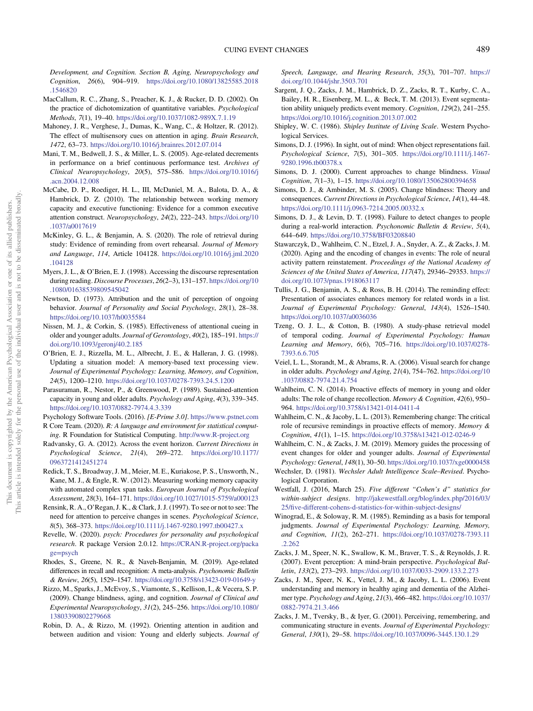<span id="page-14-0"></span>Development, and Cognition. Section B, Aging, Neuropsychology and Cognition, 26(6), 904–919. [https://doi.org/10.1080/13825585.2018](https://doi.org/10.1080/13825585.2018.1546820) [.1546820](https://doi.org/10.1080/13825585.2018.1546820)

- MacCallum, R. C., Zhang, S., Preacher, K. J., & Rucker, D. D. (2002). On the practice of dichotomization of quantitative variables. Psychological Methods, 7(1), 19–40. <https://doi.org/10.1037/1082-989X.7.1.19>
- Mahoney, J. R., Verghese, J., Dumas, K., Wang, C., & Holtzer, R. (2012). The effect of multisensory cues on attention in aging. Brain Research, 1472, 63–73. <https://doi.org/10.1016/j.brainres.2012.07.014>
- Mani, T. M., Bedwell, J. S., & Miller, L. S. (2005). Age-related decrements in performance on a brief continuous performance test. Archives of Clinical Neuropsychology, 20(5), 575–586. [https://doi.org/10.1016/j](https://doi.org/10.1016/j.acn.2004.12.008) [.acn.2004.12.008](https://doi.org/10.1016/j.acn.2004.12.008)
- McCabe, D. P., Roediger, H. L., III, McDaniel, M. A., Balota, D. A., & Hambrick, D. Z. (2010). The relationship between working memory capacity and executive functioning: Evidence for a common executive attention construct. Neuropsychology, 24(2), 222–243. [https://doi.org/10](https://doi.org/10.1037/a0017619) [.1037/a0017619](https://doi.org/10.1037/a0017619)
- McKinley, G. L., & Benjamin, A. S. (2020). The role of retrieval during study: Evidence of reminding from overt rehearsal. Journal of Memory and Language, 114, Article 104128. [https://doi.org/10.1016/j.jml.2020](https://doi.org/10.1016/j.jml.2020.104128) [.104128](https://doi.org/10.1016/j.jml.2020.104128)
- Myers, J. L., & O'Brien, E. J. (1998). Accessing the discourse representation during reading. Discourse Processes, 26(2–3), 131–157. [https://doi.org/10](https://doi.org/10.1080/01638539809545042) [.1080/01638539809545042](https://doi.org/10.1080/01638539809545042)
- Newtson, D. (1973). Attribution and the unit of perception of ongoing behavior. Journal of Personality and Social Psychology, 28(1), 28-38. <https://doi.org/10.1037/h0035584>
- Nissen, M. J., & Corkin, S. (1985). Effectiveness of attentional cueing in older and younger adults. Journal of Gerontology, 40(2), 185–191. [https://](https://doi.org/10.1093/geronj/40.2.185) [doi.org/10.1093/geronj/40.2.185](https://doi.org/10.1093/geronj/40.2.185)
- O'Brien, E. J., Rizzella, M. L., Albrecht, J. E., & Halleran, J. G. (1998). Updating a situation model: A memory-based text processing view. Journal of Experimental Psychology: Learning, Memory, and Cognition, 24(5), 1200–1210. <https://doi.org/10.1037/0278-7393.24.5.1200>
- Parasuraman, R., Nestor, P., & Greenwood, P. (1989). Sustained-attention capacity in young and older adults. Psychology and Aging, 4(3), 339–345. <https://doi.org/10.1037/0882-7974.4.3.339>
- Psychology Software Tools. (2016). [E-Prime 3.0]. <https://www.pstnet.com> R Core Team. (2020). R: A language and environment for statistical computing. R Foundation for Statistical Computing. <http://www.R-project.org>
- Radvansky, G. A. (2012). Across the event horizon. Current Directions in Psychological Science, 21(4), 269–272. [https://doi.org/10.1177/](https://doi.org/10.1177/0963721412451274) [0963721412451274](https://doi.org/10.1177/0963721412451274)
- Redick, T. S., Broadway, J. M., Meier, M. E., Kuriakose, P. S., Unsworth, N., Kane, M. J., & Engle, R. W. (2012). Measuring working memory capacity with automated complex span tasks. European Journal of Psychological Assessment, 28(3), 164–171. <https://doi.org/10.1027/1015-5759/a000123>
- Rensink, R. A., O'Regan, J. K., & Clark, J. J. (1997). To see or not to see: The need for attention to perceive changes in scenes. Psychological Science, 8(5), 368–373. <https://doi.org/10.1111/j.1467-9280.1997.tb00427.x>
- Revelle, W. (2020). psych: Procedures for personality and psychological research. R package Version 2.0.12. [https://CRAN.R-project.org/packa](https://CRAN.R-project.org/package=) ge=[psych](https://CRAN.R-project.org/package=)
- Rhodes, S., Greene, N. R., & Naveh-Benjamin, M. (2019). Age-related differences in recall and recognition: A meta-analysis. Psychonomic Bulletin & Review, 26(5), 1529–1547. <https://doi.org/10.3758/s13423-019-01649-y>
- Rizzo, M., Sparks, J., McEvoy, S., Viamonte, S., Kellison, I., & Vecera, S. P. (2009). Change blindness, aging, and cognition. Journal of Clinical and Experimental Neuropsychology, 31(2), 245–256. [https://doi.org/10.1080/](https://doi.org/10.1080/13803390802279668) [13803390802279668](https://doi.org/10.1080/13803390802279668)
- Robin, D. A., & Rizzo, M. (1992). Orienting attention in audition and between audition and vision: Young and elderly subjects. Journal of

Speech, Language, and Hearing Research, 35(3), 701–707. [https://](https://doi.org/10.1044/jshr.3503.701) [doi.org/10.1044/jshr.3503.701](https://doi.org/10.1044/jshr.3503.701)

- Sargent, J. Q., Zacks, J. M., Hambrick, D. Z., Zacks, R. T., Kurby, C. A., Bailey, H. R., Eisenberg, M. L., & Beck, T. M. (2013). Event segmentation ability uniquely predicts event memory. Cognition, 129(2), 241–255. <https://doi.org/10.1016/j.cognition.2013.07.002>
- Shipley, W. C. (1986). Shipley Institute of Living Scale. Western Psychological Services.
- Simons, D. J. (1996). In sight, out of mind: When object representations fail. Psychological Science, 7(5), 301–305. [https://doi.org/10.1111/j.1467-](https://doi.org/10.1111/j.1467-9280.1996.tb00378.x) [9280.1996.tb00378.x](https://doi.org/10.1111/j.1467-9280.1996.tb00378.x)
- Simons, D. J. (2000). Current approaches to change blindness. Visual Cognition, 7(1–3), 1–15. <https://doi.org/10.1080/135062800394658>
- Simons, D. J., & Ambinder, M. S. (2005). Change blindness: Theory and consequences. Current Directions in Psychological Science, 14(1), 44–48. <https://doi.org/10.1111/j.0963-7214.2005.00332.x>
- Simons, D. J., & Levin, D. T. (1998). Failure to detect changes to people during a real-world interaction. Psychonomic Bulletin & Review, 5(4), 644–649. <https://doi.org/10.3758/BF03208840>
- Stawarczyk, D., Wahlheim, C. N., Etzel, J. A., Snyder, A. Z., & Zacks, J. M. (2020). Aging and the encoding of changes in events: The role of neural activity pattern reinstatement. Proceedings of the National Academy of Sciences of the United States of America, 117(47), 29346–29353. [https://](https://doi.org/10.1073/pnas.1918063117) [doi.org/10.1073/pnas.1918063117](https://doi.org/10.1073/pnas.1918063117)
- Tullis, J. G., Benjamin, A. S., & Ross, B. H. (2014). The reminding effect: Presentation of associates enhances memory for related words in a list. Journal of Experimental Psychology: General, 143(4), 1526–1540. <https://doi.org/10.1037/a0036036>
- Tzeng, O. J. L., & Cotton, B. (1980). A study-phase retrieval model of temporal coding. Journal of Experimental Psychology: Human Learning and Memory, 6(6), 705–716. [https://doi.org/10.1037/0278-](https://doi.org/10.1037/0278-7393.6.6.705) [7393.6.6.705](https://doi.org/10.1037/0278-7393.6.6.705)
- Veiel, L. L., Storandt, M., & Abrams, R. A. (2006). Visual search for change in older adults. Psychology and Aging, 21(4), 754–762. [https://doi.org/10](https://doi.org/10.1037/0882-7974.21.4.754) [.1037/0882-7974.21.4.754](https://doi.org/10.1037/0882-7974.21.4.754)
- Wahlheim, C. N. (2014). Proactive effects of memory in young and older adults: The role of change recollection. Memory & Cognition, 42(6), 950– 964. <https://doi.org/10.3758/s13421-014-0411-4>
- Wahlheim, C. N., & Jacoby, L. L. (2013). Remembering change: The critical role of recursive remindings in proactive effects of memory. Memory & Cognition, 41(1), 1–15. <https://doi.org/10.3758/s13421-012-0246-9>
- Wahlheim, C. N., & Zacks, J. M. (2019). Memory guides the processing of event changes for older and younger adults. Journal of Experimental Psychology: General, 148(1), 30–50. <https://doi.org/10.1037/xge0000458>
- Wechsler, D. (1981). Wechsler Adult Intelligence Scale–Revised. Psychological Corporation.
- Westfall, J. (2016, March 25). Five different "Cohen's d" statistics for within-subject designs. [http://jakewestfall.org/blog/index.php/2016/03/](http://jakewestfall.org/blog/index.php/2016/03/25/five-different-cohens-d-statistics-for-within-subject-) 25/fi[ve-different-cohens-d-statistics-for-within-subject-](http://jakewestfall.org/blog/index.php/2016/03/25/five-different-cohens-d-statistics-for-within-subject-)[designs/](https://designs/)
- Winograd, E., & Soloway, R. M. (1985). Reminding as a basis for temporal judgments. Journal of Experimental Psychology: Learning, Memory, and Cognition, 11(2), 262–271. [https://doi.org/10.1037/0278-7393.11](https://doi.org/10.1037/0278-7393.11.2.262) [.2.262](https://doi.org/10.1037/0278-7393.11.2.262)
- Zacks, J. M., Speer, N. K., Swallow, K. M., Braver, T. S., & Reynolds, J. R. (2007). Event perception: A mind-brain perspective. Psychological Bulletin, 133(2), 273–293. <https://doi.org/10.1037/0033-2909.133.2.273>
- Zacks, J. M., Speer, N. K., Vettel, J. M., & Jacoby, L. L. (2006). Event understanding and memory in healthy aging and dementia of the Alzheimer type. Psychology and Aging, 21(3), 466–482. [https://doi.org/10.1037/](https://doi.org/10.1037/0882-7974.21.3.466) [0882-7974.21.3.466](https://doi.org/10.1037/0882-7974.21.3.466)
- Zacks, J. M., Tversky, B., & Iyer, G. (2001). Perceiving, remembering, and communicating structure in events. Journal of Experimental Psychology: General, 130(1), 29–58. <https://doi.org/10.1037/0096-3445.130.1.29>